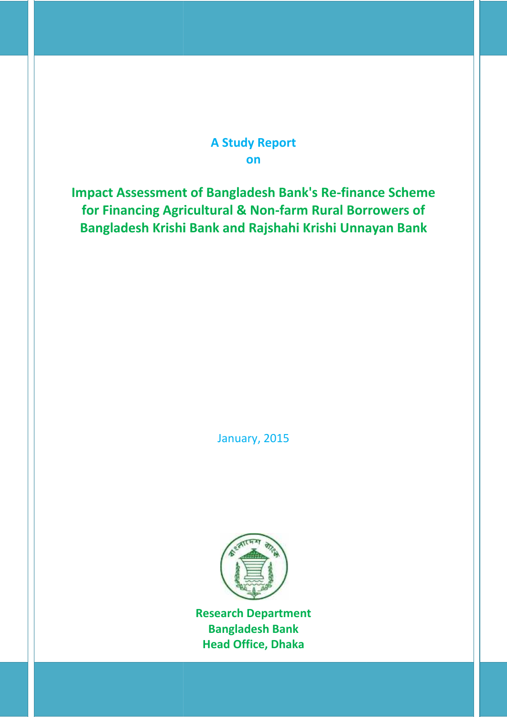# **A Study Report on**

**Impact Assessment of Bangladesh Bank's Re-finance Scheme for Financing Agricultural & Non-farm Rural Borrowers of Bangladesh Krishi Bank and Rajshahi Krishi Unnayan Bank Bank and** 

January, 2015 January,



**Research Department DepartmentBangladesh Bank Head Office, Dhaka**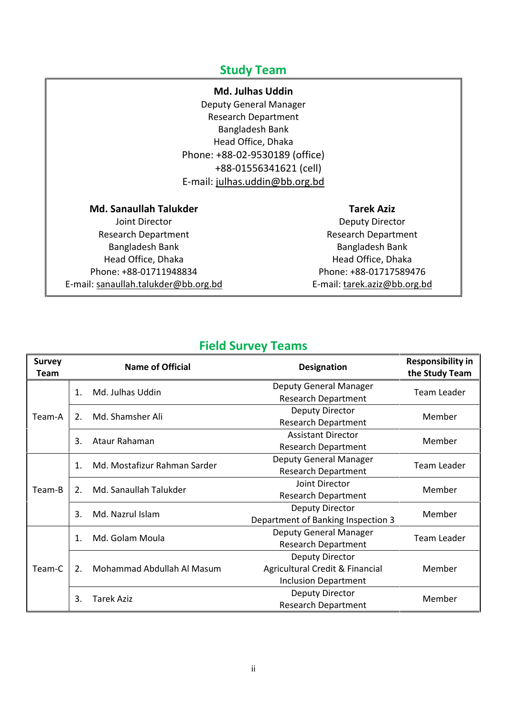# **Study Team**

## **Md. Julhas Uddin**

Deputy General Manager Research Department Bangladesh Bank Head Office, Dhaka Phone: +88-02-9530189 (office) +88-01556341621 (cell) E-mail: julhas.uddin@bb.org.bd

**Md. Sanaullah Talukder**

Joint Director Research Department Bangladesh Bank Head Office, Dhaka Phone: +88-01711948834 E-mail: sanaullah.talukder@bb.org.bd

## **Tarek Aziz**

Deputy Director Research Department Bangladesh Bank Head Office, Dhaka Phone: +88-01717589476 E-mail: tarek.aziz@bb.org.bd

# **Field Survey Teams**

| <b>Survey</b><br>Team |                              | <b>Name of Official</b>      | <b>Designation</b>                 | <b>Responsibility in</b><br>the Study Team |  |  |
|-----------------------|------------------------------|------------------------------|------------------------------------|--------------------------------------------|--|--|
|                       | 1.                           | Md. Julhas Uddin             | Deputy General Manager             | Team Leader                                |  |  |
|                       |                              |                              | <b>Research Department</b>         |                                            |  |  |
| Team-A                | 2.                           | Md. Shamsher Ali             | Deputy Director                    | Member                                     |  |  |
|                       |                              |                              | <b>Research Department</b>         |                                            |  |  |
|                       | 3.                           | Ataur Rahaman                | <b>Assistant Director</b>          | Member                                     |  |  |
|                       |                              |                              | <b>Research Department</b>         |                                            |  |  |
|                       | $\mathbf{1}$ .               | Md. Mostafizur Rahman Sarder | Deputy General Manager             | <b>Team Leader</b>                         |  |  |
|                       |                              |                              | <b>Research Department</b>         |                                            |  |  |
| Team-B                | Md. Sanaullah Talukder<br>2. |                              | Joint Director                     | Member                                     |  |  |
|                       |                              |                              | <b>Research Department</b>         |                                            |  |  |
|                       | Md. Nazrul Islam<br>3.       |                              | Deputy Director                    | Member                                     |  |  |
|                       |                              |                              | Department of Banking Inspection 3 |                                            |  |  |
|                       | 1.                           | Md. Golam Moula              | Deputy General Manager             | Team Leader                                |  |  |
|                       |                              |                              | <b>Research Department</b>         |                                            |  |  |
|                       |                              |                              | Deputy Director                    |                                            |  |  |
| Team-C                | 2.                           | Mohammad Abdullah Al Masum   | Agricultural Credit & Financial    | Member                                     |  |  |
|                       |                              |                              | <b>Inclusion Department</b>        |                                            |  |  |
|                       | 3.                           | <b>Tarek Aziz</b>            | <b>Deputy Director</b>             | Member                                     |  |  |
|                       |                              |                              | <b>Research Department</b>         |                                            |  |  |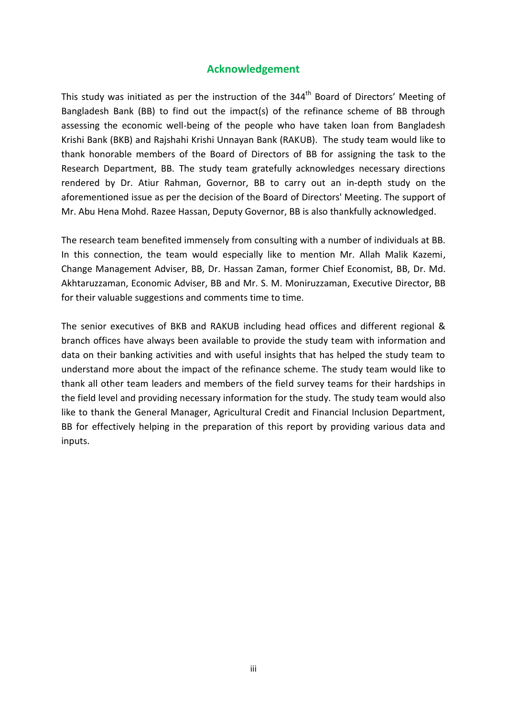## **Acknowledgement**

This study was initiated as per the instruction of the 344<sup>th</sup> Board of Directors' Meeting of Bangladesh Bank (BB) to find out the impact(s) of the refinance scheme of BB through assessing the economic well-being of the people who have taken loan from Bangladesh Krishi Bank (BKB) and Rajshahi Krishi Unnayan Bank (RAKUB). The study team would like to thank honorable members of the Board of Directors of BB for assigning the task to the Research Department, BB. The study team gratefully acknowledges necessary directions rendered by Dr. Atiur Rahman, Governor, BB to carry out an in-depth study on the aforementioned issue as per the decision of the Board of Directors' Meeting. The support of Mr. Abu Hena Mohd. Razee Hassan, Deputy Governor, BB is also thankfully acknowledged.

The research team benefited immensely from consulting with a number of individuals at BB. In this connection, the team would especially like to mention Mr. Allah Malik Kazemi, Change Management Adviser, BB, Dr. Hassan Zaman, former Chief Economist, BB, Dr. Md. Akhtaruzzaman, Economic Adviser, BB and Mr. S. M. Moniruzzaman, Executive Director, BB for their valuable suggestions and comments time to time.

The senior executives of BKB and RAKUB including head offices and different regional & branch offices have always been available to provide the study team with information and data on their banking activities and with useful insights that has helped the study team to understand more about the impact of the refinance scheme. The study team would like to thank all other team leaders and members of the field survey teams for their hardships in the field level and providing necessary information for the study. The study team would also like to thank the General Manager, Agricultural Credit and Financial Inclusion Department, BB for effectively helping in the preparation of this report by providing various data and inputs.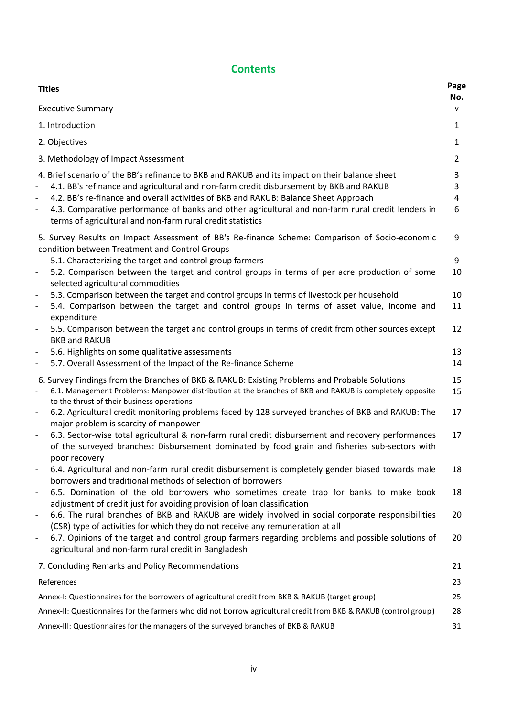# **Contents**

| <b>Titles</b>                                                                                                                                                                                                                                                                                                                                                                                                                                                            | Page<br>No.      |
|--------------------------------------------------------------------------------------------------------------------------------------------------------------------------------------------------------------------------------------------------------------------------------------------------------------------------------------------------------------------------------------------------------------------------------------------------------------------------|------------------|
| <b>Executive Summary</b>                                                                                                                                                                                                                                                                                                                                                                                                                                                 | $\mathsf{v}$     |
| 1. Introduction                                                                                                                                                                                                                                                                                                                                                                                                                                                          | 1                |
| 2. Objectives                                                                                                                                                                                                                                                                                                                                                                                                                                                            | $\mathbf{1}$     |
| 3. Methodology of Impact Assessment                                                                                                                                                                                                                                                                                                                                                                                                                                      | 2                |
| 4. Brief scenario of the BB's refinance to BKB and RAKUB and its impact on their balance sheet<br>4.1. BB's refinance and agricultural and non-farm credit disbursement by BKB and RAKUB<br>$\qquad \qquad -$<br>4.2. BB's re-finance and overall activities of BKB and RAKUB: Balance Sheet Approach<br>4.3. Comparative performance of banks and other agricultural and non-farm rural credit lenders in<br>terms of agricultural and non-farm rural credit statistics | 3<br>3<br>4<br>6 |
| 5. Survey Results on Impact Assessment of BB's Re-finance Scheme: Comparison of Socio-economic<br>condition between Treatment and Control Groups                                                                                                                                                                                                                                                                                                                         | 9                |
| 5.1. Characterizing the target and control group farmers                                                                                                                                                                                                                                                                                                                                                                                                                 | 9                |
| 5.2. Comparison between the target and control groups in terms of per acre production of some<br>$\qquad \qquad -$<br>selected agricultural commodities                                                                                                                                                                                                                                                                                                                  | 10               |
| 5.3. Comparison between the target and control groups in terms of livestock per household                                                                                                                                                                                                                                                                                                                                                                                | 10               |
| 5.4. Comparison between the target and control groups in terms of asset value, income and<br>expenditure                                                                                                                                                                                                                                                                                                                                                                 | 11               |
| 5.5. Comparison between the target and control groups in terms of credit from other sources except<br>$\overline{\phantom{a}}$<br><b>BKB and RAKUB</b>                                                                                                                                                                                                                                                                                                                   | 12               |
| 5.6. Highlights on some qualitative assessments                                                                                                                                                                                                                                                                                                                                                                                                                          | 13               |
| 5.7. Overall Assessment of the Impact of the Re-finance Scheme<br>$\overline{\phantom{a}}$                                                                                                                                                                                                                                                                                                                                                                               | 14               |
| 6. Survey Findings from the Branches of BKB & RAKUB: Existing Problems and Probable Solutions<br>6.1. Management Problems: Manpower distribution at the branches of BKB and RAKUB is completely opposite<br>to the thrust of their business operations                                                                                                                                                                                                                   | 15<br>15         |
| 6.2. Agricultural credit monitoring problems faced by 128 surveyed branches of BKB and RAKUB: The<br>major problem is scarcity of manpower                                                                                                                                                                                                                                                                                                                               | 17               |
| 6.3. Sector-wise total agricultural & non-farm rural credit disbursement and recovery performances<br>$\qquad \qquad \blacksquare$<br>of the surveyed branches: Disbursement dominated by food grain and fisheries sub-sectors with<br>poor recovery                                                                                                                                                                                                                     | 17               |
| 6.4. Agricultural and non-farm rural credit disbursement is completely gender biased towards male<br>borrowers and traditional methods of selection of borrowers                                                                                                                                                                                                                                                                                                         | 18               |
| 6.5. Domination of the old borrowers who sometimes create trap for banks to make book<br>$\overline{\phantom{a}}$<br>adjustment of credit just for avoiding provision of loan classification                                                                                                                                                                                                                                                                             | 18               |
| 6.6. The rural branches of BKB and RAKUB are widely involved in social corporate responsibilities<br>$\qquad \qquad -$<br>(CSR) type of activities for which they do not receive any remuneration at all                                                                                                                                                                                                                                                                 | 20               |
| 6.7. Opinions of the target and control group farmers regarding problems and possible solutions of<br>$\qquad \qquad -$<br>agricultural and non-farm rural credit in Bangladesh                                                                                                                                                                                                                                                                                          | 20               |
| 7. Concluding Remarks and Policy Recommendations                                                                                                                                                                                                                                                                                                                                                                                                                         | 21               |
| References                                                                                                                                                                                                                                                                                                                                                                                                                                                               | 23               |
| Annex-I: Questionnaires for the borrowers of agricultural credit from BKB & RAKUB (target group)                                                                                                                                                                                                                                                                                                                                                                         | 25               |
| Annex-II: Questionnaires for the farmers who did not borrow agricultural credit from BKB & RAKUB (control group)                                                                                                                                                                                                                                                                                                                                                         | 28               |
| Annex-III: Questionnaires for the managers of the surveyed branches of BKB & RAKUB                                                                                                                                                                                                                                                                                                                                                                                       | 31               |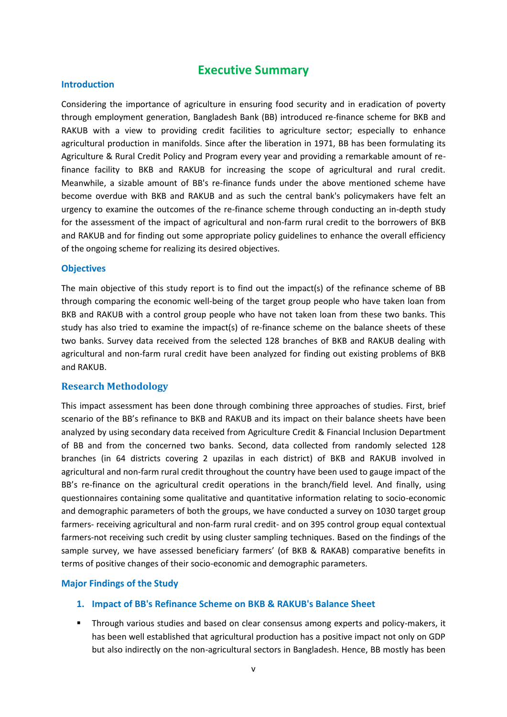## **Executive Summary**

### **Introduction**

Considering the importance of agriculture in ensuring food security and in eradication of poverty through employment generation, Bangladesh Bank (BB) introduced re-finance scheme for BKB and RAKUB with a view to providing credit facilities to agriculture sector; especially to enhance agricultural production in manifolds. Since after the liberation in 1971, BB has been formulating its Agriculture & Rural Credit Policy and Program every year and providing a remarkable amount of refinance facility to BKB and RAKUB for increasing the scope of agricultural and rural credit. Meanwhile, a sizable amount of BB's re-finance funds under the above mentioned scheme have become overdue with BKB and RAKUB and as such the central bank's policymakers have felt an urgency to examine the outcomes of the re-finance scheme through conducting an in-depth study for the assessment of the impact of agricultural and non-farm rural credit to the borrowers of BKB and RAKUB and for finding out some appropriate policy guidelines to enhance the overall efficiency of the ongoing scheme for realizing its desired objectives.

### **Objectives**

The main objective of this study report is to find out the impact(s) of the refinance scheme of BB through comparing the economic well-being of the target group people who have taken loan from BKB and RAKUB with a control group people who have not taken loan from these two banks. This study has also tried to examine the impact(s) of re-finance scheme on the balance sheets of these two banks. Survey data received from the selected 128 branches of BKB and RAKUB dealing with agricultural and non-farm rural credit have been analyzed for finding out existing problems of BKB and RAKUB.

## **Research Methodology**

This impact assessment has been done through combining three approaches of studies. First, brief scenario of the BB's refinance to BKB and RAKUB and its impact on their balance sheets have been analyzed by using secondary data received from Agriculture Credit & Financial Inclusion Department of BB and from the concerned two banks. Second, data collected from randomly selected 128 branches (in 64 districts covering 2 upazilas in each district) of BKB and RAKUB involved in agricultural and non-farm rural credit throughout the country have been used to gauge impact of the BB's re-finance on the agricultural credit operations in the branch/field level. And finally, using questionnaires containing some qualitative and quantitative information relating to socio-economic and demographic parameters of both the groups, we have conducted a survey on 1030 target group farmers- receiving agricultural and non-farm rural credit- and on 395 control group equal contextual farmers-not receiving such credit by using cluster sampling techniques. Based on the findings of the sample survey, we have assessed beneficiary farmers' (of BKB & RAKAB) comparative benefits in terms of positive changes of their socio-economic and demographic parameters.

## **Major Findings of the Study**

## **1. Impact of BB's Refinance Scheme on BKB & RAKUB's Balance Sheet**

 Through various studies and based on clear consensus among experts and policy-makers, it has been well established that agricultural production has a positive impact not only on GDP but also indirectly on the non-agricultural sectors in Bangladesh. Hence, BB mostly has been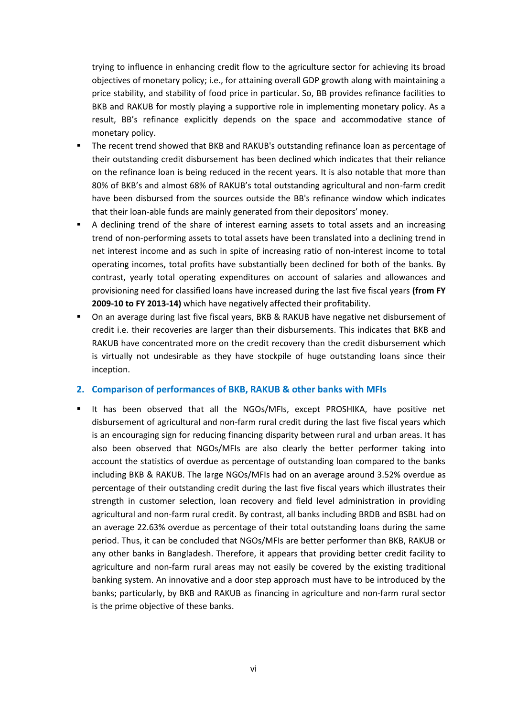trying to influence in enhancing credit flow to the agriculture sector for achieving its broad objectives of monetary policy; i.e., for attaining overall GDP growth along with maintaining a price stability, and stability of food price in particular. So, BB provides refinance facilities to BKB and RAKUB for mostly playing a supportive role in implementing monetary policy. As a result, BB's refinance explicitly depends on the space and accommodative stance of monetary policy.

- The recent trend showed that BKB and RAKUB's outstanding refinance loan as percentage of their outstanding credit disbursement has been declined which indicates that their reliance on the refinance loan is being reduced in the recent years. It is also notable that more than 80% of BKB's and almost 68% of RAKUB's total outstanding agricultural and non-farm credit have been disbursed from the sources outside the BB's refinance window which indicates that their loan-able funds are mainly generated from their depositors' money.
- A declining trend of the share of interest earning assets to total assets and an increasing trend of non-performing assets to total assets have been translated into a declining trend in net interest income and as such in spite of increasing ratio of non-interest income to total operating incomes, total profits have substantially been declined for both of the banks. By contrast, yearly total operating expenditures on account of salaries and allowances and provisioning need for classified loans have increased during the last five fiscal years **(from FY 2009-10 to FY 2013-14)** which have negatively affected their profitability.
- On an average during last five fiscal years, BKB & RAKUB have negative net disbursement of credit i.e. their recoveries are larger than their disbursements. This indicates that BKB and RAKUB have concentrated more on the credit recovery than the credit disbursement which is virtually not undesirable as they have stockpile of huge outstanding loans since their inception.

### **2. Comparison of performances of BKB, RAKUB & other banks with MFIs**

It has been observed that all the NGOs/MFIs, except PROSHIKA, have positive net disbursement of agricultural and non-farm rural credit during the last five fiscal years which is an encouraging sign for reducing financing disparity between rural and urban areas. It has also been observed that NGOs/MFIs are also clearly the better performer taking into account the statistics of overdue as percentage of outstanding loan compared to the banks including BKB & RAKUB. The large NGOs/MFIs had on an average around 3.52% overdue as percentage of their outstanding credit during the last five fiscal years which illustrates their strength in customer selection, loan recovery and field level administration in providing agricultural and non-farm rural credit. By contrast, all banks including BRDB and BSBL had on an average 22.63% overdue as percentage of their total outstanding loans during the same period. Thus, it can be concluded that NGOs/MFIs are better performer than BKB, RAKUB or any other banks in Bangladesh. Therefore, it appears that providing better credit facility to agriculture and non-farm rural areas may not easily be covered by the existing traditional banking system. An innovative and a door step approach must have to be introduced by the banks; particularly, by BKB and RAKUB as financing in agriculture and non-farm rural sector is the prime objective of these banks.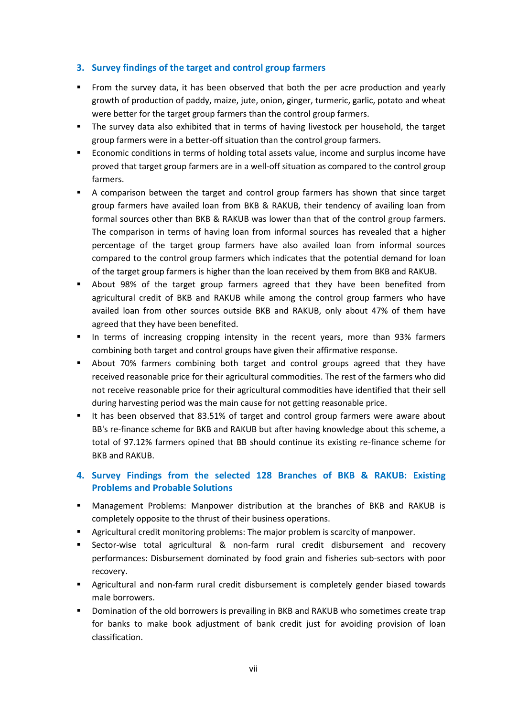## **3. Survey findings of the target and control group farmers**

- **From the survey data, it has been observed that both the per acre production and yearly** growth of production of paddy, maize, jute, onion, ginger, turmeric, garlic, potato and wheat were better for the target group farmers than the control group farmers.
- The survey data also exhibited that in terms of having livestock per household, the target group farmers were in a better-off situation than the control group farmers.
- Economic conditions in terms of holding total assets value, income and surplus income have proved that target group farmers are in a well-off situation as compared to the control group farmers.
- A comparison between the target and control group farmers has shown that since target group farmers have availed loan from BKB & RAKUB, their tendency of availing loan from formal sources other than BKB & RAKUB was lower than that of the control group farmers. The comparison in terms of having loan from informal sources has revealed that a higher percentage of the target group farmers have also availed loan from informal sources compared to the control group farmers which indicates that the potential demand for loan of the target group farmers is higher than the loan received by them from BKB and RAKUB.
- About 98% of the target group farmers agreed that they have been benefited from agricultural credit of BKB and RAKUB while among the control group farmers who have availed loan from other sources outside BKB and RAKUB, only about 47% of them have agreed that they have been benefited.
- In terms of increasing cropping intensity in the recent years, more than 93% farmers combining both target and control groups have given their affirmative response.
- About 70% farmers combining both target and control groups agreed that they have received reasonable price for their agricultural commodities. The rest of the farmers who did not receive reasonable price for their agricultural commodities have identified that their sell during harvesting period was the main cause for not getting reasonable price.
- It has been observed that 83.51% of target and control group farmers were aware about BB's re-finance scheme for BKB and RAKUB but after having knowledge about this scheme, a total of 97.12% farmers opined that BB should continue its existing re-finance scheme for BKB and RAKUB.

## **4. Survey Findings from the selected 128 Branches of BKB & RAKUB: Existing Problems and Probable Solutions**

- Management Problems: Manpower distribution at the branches of BKB and RAKUB is completely opposite to the thrust of their business operations.
- Agricultural credit monitoring problems: The major problem is scarcity of manpower.
- Sector-wise total agricultural & non-farm rural credit disbursement and recovery performances: Disbursement dominated by food grain and fisheries sub-sectors with poor recovery.
- **Agricultural and non-farm rural credit disbursement is completely gender biased towards** male borrowers.
- Domination of the old borrowers is prevailing in BKB and RAKUB who sometimes create trap for banks to make book adjustment of bank credit just for avoiding provision of loan classification.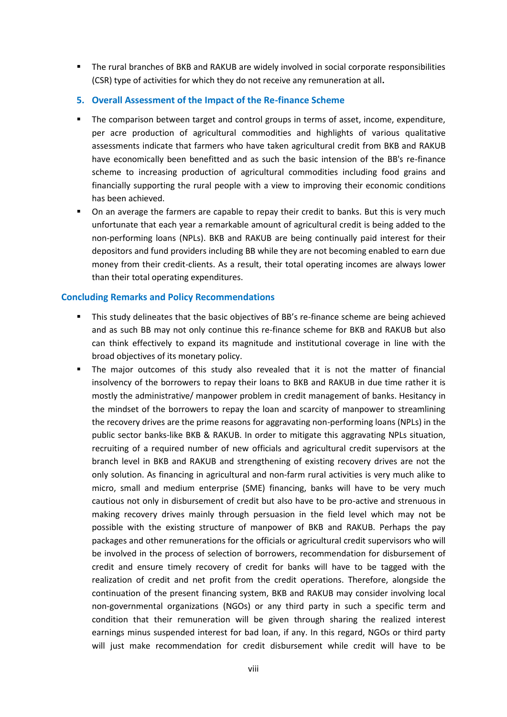- The rural branches of BKB and RAKUB are widely involved in social corporate responsibilities (CSR) type of activities for which they do not receive any remuneration at all**.**
- **5. Overall Assessment of the Impact of the Re-finance Scheme**
- The comparison between target and control groups in terms of asset, income, expenditure, per acre production of agricultural commodities and highlights of various qualitative assessments indicate that farmers who have taken agricultural credit from BKB and RAKUB have economically been benefitted and as such the basic intension of the BB's re-finance scheme to increasing production of agricultural commodities including food grains and financially supporting the rural people with a view to improving their economic conditions has been achieved.
- On an average the farmers are capable to repay their credit to banks. But this is very much unfortunate that each year a remarkable amount of agricultural credit is being added to the non-performing loans (NPLs). BKB and RAKUB are being continually paid interest for their depositors and fund providers including BB while they are not becoming enabled to earn due money from their credit-clients. As a result, their total operating incomes are always lower than their total operating expenditures.

### **Concluding Remarks and Policy Recommendations**

- This study delineates that the basic objectives of BB's re-finance scheme are being achieved and as such BB may not only continue this re-finance scheme for BKB and RAKUB but also can think effectively to expand its magnitude and institutional coverage in line with the broad objectives of its monetary policy.
- The major outcomes of this study also revealed that it is not the matter of financial insolvency of the borrowers to repay their loans to BKB and RAKUB in due time rather it is mostly the administrative/ manpower problem in credit management of banks. Hesitancy in the mindset of the borrowers to repay the loan and scarcity of manpower to streamlining the recovery drives are the prime reasons for aggravating non-performing loans (NPLs) in the public sector banks-like BKB & RAKUB. In order to mitigate this aggravating NPLs situation, recruiting of a required number of new officials and agricultural credit supervisors at the branch level in BKB and RAKUB and strengthening of existing recovery drives are not the only solution. As financing in agricultural and non-farm rural activities is very much alike to micro, small and medium enterprise (SME) financing, banks will have to be very much cautious not only in disbursement of credit but also have to be pro-active and strenuous in making recovery drives mainly through persuasion in the field level which may not be possible with the existing structure of manpower of BKB and RAKUB. Perhaps the pay packages and other remunerations for the officials or agricultural credit supervisors who will be involved in the process of selection of borrowers, recommendation for disbursement of credit and ensure timely recovery of credit for banks will have to be tagged with the realization of credit and net profit from the credit operations. Therefore, alongside the continuation of the present financing system, BKB and RAKUB may consider involving local non-governmental organizations (NGOs) or any third party in such a specific term and condition that their remuneration will be given through sharing the realized interest earnings minus suspended interest for bad loan, if any. In this regard, NGOs or third party will just make recommendation for credit disbursement while credit will have to be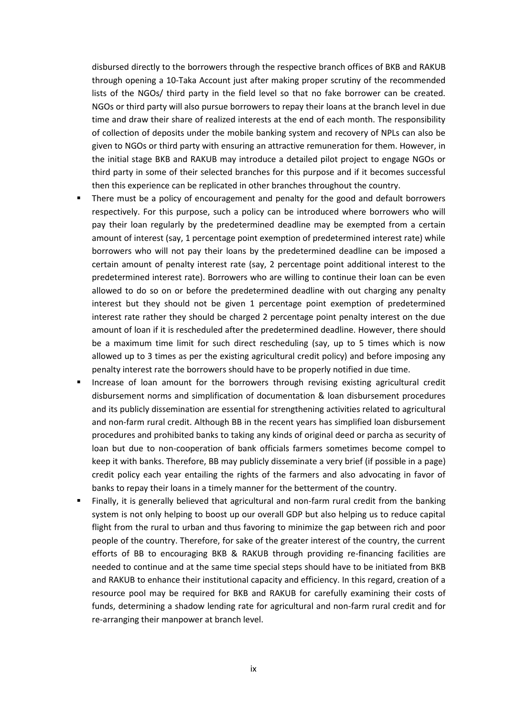disbursed directly to the borrowers through the respective branch offices of BKB and RAKUB through opening a 10-Taka Account just after making proper scrutiny of the recommended lists of the NGOs/ third party in the field level so that no fake borrower can be created. NGOs or third party will also pursue borrowers to repay their loans at the branch level in due time and draw their share of realized interests at the end of each month. The responsibility of collection of deposits under the mobile banking system and recovery of NPLs can also be given to NGOs or third party with ensuring an attractive remuneration for them. However, in the initial stage BKB and RAKUB may introduce a detailed pilot project to engage NGOs or third party in some of their selected branches for this purpose and if it becomes successful then this experience can be replicated in other branches throughout the country.

- There must be a policy of encouragement and penalty for the good and default borrowers respectively. For this purpose, such a policy can be introduced where borrowers who will pay their loan regularly by the predetermined deadline may be exempted from a certain amount of interest (say, 1 percentage point exemption of predetermined interest rate) while borrowers who will not pay their loans by the predetermined deadline can be imposed a certain amount of penalty interest rate (say, 2 percentage point additional interest to the predetermined interest rate). Borrowers who are willing to continue their loan can be even allowed to do so on or before the predetermined deadline with out charging any penalty interest but they should not be given 1 percentage point exemption of predetermined interest rate rather they should be charged 2 percentage point penalty interest on the due amount of loan if it is rescheduled after the predetermined deadline. However, there should be a maximum time limit for such direct rescheduling (say, up to 5 times which is now allowed up to 3 times as per the existing agricultural credit policy) and before imposing any penalty interest rate the borrowers should have to be properly notified in due time.
- Increase of loan amount for the borrowers through revising existing agricultural credit disbursement norms and simplification of documentation & loan disbursement procedures and its publicly dissemination are essential for strengthening activities related to agricultural and non-farm rural credit. Although BB in the recent years has simplified loan disbursement procedures and prohibited banks to taking any kinds of original deed or parcha as security of loan but due to non-cooperation of bank officials farmers sometimes become compel to keep it with banks. Therefore, BB may publicly disseminate a very brief (if possible in a page) credit policy each year entailing the rights of the farmers and also advocating in favor of banks to repay their loans in a timely manner for the betterment of the country.
- Finally, it is generally believed that agricultural and non-farm rural credit from the banking system is not only helping to boost up our overall GDP but also helping us to reduce capital flight from the rural to urban and thus favoring to minimize the gap between rich and poor people of the country. Therefore, for sake of the greater interest of the country, the current efforts of BB to encouraging BKB & RAKUB through providing re-financing facilities are needed to continue and at the same time special steps should have to be initiated from BKB and RAKUB to enhance their institutional capacity and efficiency. In this regard, creation of a resource pool may be required for BKB and RAKUB for carefully examining their costs of funds, determining a shadow lending rate for agricultural and non-farm rural credit and for re-arranging their manpower at branch level.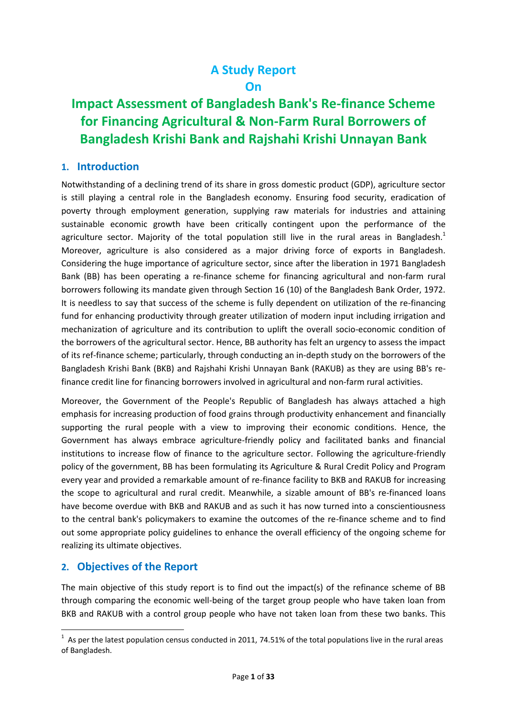# **A Study Report On**

# **Impact Assessment of Bangladesh Bank's Re-finance Scheme for Financing Agricultural & Non-Farm Rural Borrowers of Bangladesh Krishi Bank and Rajshahi Krishi Unnayan Bank**

## **1. Introduction**

Notwithstanding of a declining trend of its share in gross domestic product (GDP), agriculture sector is still playing a central role in the Bangladesh economy. Ensuring food security, eradication of poverty through employment generation, supplying raw materials for industries and attaining sustainable economic growth have been critically contingent upon the performance of the agriculture sector. Majority of the total population still live in the rural areas in Bangladesh.<sup>1</sup> Moreover, agriculture is also considered as a major driving force of exports in Bangladesh. Considering the huge importance of agriculture sector, since after the liberation in 1971 Bangladesh Bank (BB) has been operating a re-finance scheme for financing agricultural and non-farm rural borrowers following its mandate given through Section 16 (10) of the Bangladesh Bank Order, 1972. It is needless to say that success of the scheme is fully dependent on utilization of the re-financing fund for enhancing productivity through greater utilization of modern input including irrigation and mechanization of agriculture and its contribution to uplift the overall socio-economic condition of the borrowers of the agricultural sector. Hence, BB authority has felt an urgency to assess the impact of its ref-finance scheme; particularly, through conducting an in-depth study on the borrowers of the Bangladesh Krishi Bank (BKB) and Rajshahi Krishi Unnayan Bank (RAKUB) as they are using BB's refinance credit line for financing borrowers involved in agricultural and non-farm rural activities.

Moreover, the Government of the People's Republic of Bangladesh has always attached a high emphasis for increasing production of food grains through productivity enhancement and financially supporting the rural people with a view to improving their economic conditions. Hence, the Government has always embrace agriculture-friendly policy and facilitated banks and financial institutions to increase flow of finance to the agriculture sector. Following the agriculture-friendly policy of the government, BB has been formulating its Agriculture & Rural Credit Policy and Program every year and provided a remarkable amount of re-finance facility to BKB and RAKUB for increasing the scope to agricultural and rural credit. Meanwhile, a sizable amount of BB's re-financed loans have become overdue with BKB and RAKUB and as such it has now turned into a conscientiousness to the central bank's policymakers to examine the outcomes of the re-finance scheme and to find out some appropriate policy guidelines to enhance the overall efficiency of the ongoing scheme for realizing its ultimate objectives.

## **2. Objectives of the Report**

The main objective of this study report is to find out the impact(s) of the refinance scheme of BB through comparing the economic well-being of the target group people who have taken loan from BKB and RAKUB with a control group people who have not taken loan from these two banks. This

 $1$  As per the latest population census conducted in 2011, 74.51% of the total populations live in the rural areas of Bangladesh.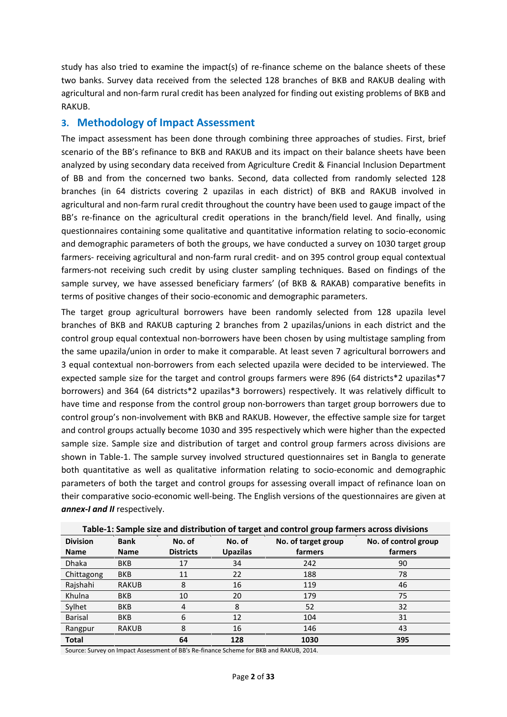study has also tried to examine the impact(s) of re-finance scheme on the balance sheets of these two banks. Survey data received from the selected 128 branches of BKB and RAKUB dealing with agricultural and non-farm rural credit has been analyzed for finding out existing problems of BKB and RAKUB.

## **3. Methodology of Impact Assessment**

The impact assessment has been done through combining three approaches of studies. First, brief scenario of the BB's refinance to BKB and RAKUB and its impact on their balance sheets have been analyzed by using secondary data received from Agriculture Credit & Financial Inclusion Department of BB and from the concerned two banks. Second, data collected from randomly selected 128 branches (in 64 districts covering 2 upazilas in each district) of BKB and RAKUB involved in agricultural and non-farm rural credit throughout the country have been used to gauge impact of the BB's re-finance on the agricultural credit operations in the branch/field level. And finally, using questionnaires containing some qualitative and quantitative information relating to socio-economic and demographic parameters of both the groups, we have conducted a survey on 1030 target group farmers- receiving agricultural and non-farm rural credit- and on 395 control group equal contextual farmers-not receiving such credit by using cluster sampling techniques. Based on findings of the sample survey, we have assessed beneficiary farmers' (of BKB & RAKAB) comparative benefits in terms of positive changes of their socio-economic and demographic parameters.

The target group agricultural borrowers have been randomly selected from 128 upazila level branches of BKB and RAKUB capturing 2 branches from 2 upazilas/unions in each district and the control group equal contextual non-borrowers have been chosen by using multistage sampling from the same upazila/union in order to make it comparable. At least seven 7 agricultural borrowers and 3 equal contextual non-borrowers from each selected upazila were decided to be interviewed. The expected sample size for the target and control groups farmers were 896 (64 districts\*2 upazilas\*7 borrowers) and 364 (64 districts\*2 upazilas\*3 borrowers) respectively. It was relatively difficult to have time and response from the control group non-borrowers than target group borrowers due to control group's non-involvement with BKB and RAKUB. However, the effective sample size for target and control groups actually become 1030 and 395 respectively which were higher than the expected sample size. Sample size and distribution of target and control group farmers across divisions are shown in Table-1. The sample survey involved structured questionnaires set in Bangla to generate both quantitative as well as qualitative information relating to socio-economic and demographic parameters of both the target and control groups for assessing overall impact of refinance loan on their comparative socio-economic well-being. The English versions of the questionnaires are given at *annex-I and II* respectively.

|                 | Table-1: Sample size and distribution of target and control group farmers across divisions |                  |                 |                     |                      |  |  |  |  |  |  |
|-----------------|--------------------------------------------------------------------------------------------|------------------|-----------------|---------------------|----------------------|--|--|--|--|--|--|
| <b>Division</b> | <b>Bank</b>                                                                                | No. of<br>No. of |                 | No. of target group | No. of control group |  |  |  |  |  |  |
| <b>Name</b>     | <b>Name</b>                                                                                | <b>Districts</b> | <b>Upazilas</b> | farmers             | farmers              |  |  |  |  |  |  |
| <b>Dhaka</b>    | <b>BKB</b>                                                                                 | 17               | 34              | 242                 | 90                   |  |  |  |  |  |  |
| Chittagong      | <b>BKB</b>                                                                                 | 11               | 22              | 188                 | 78                   |  |  |  |  |  |  |
| Rajshahi        | <b>RAKUB</b>                                                                               | 8                | 16              | 119                 | 46                   |  |  |  |  |  |  |
| Khulna          | <b>BKB</b>                                                                                 | 10               | 20              | 179                 | 75                   |  |  |  |  |  |  |
| Sylhet          | <b>BKB</b>                                                                                 | 4                | 8               | 52                  | 32                   |  |  |  |  |  |  |
| Barisal         | <b>BKB</b>                                                                                 | 6                | 12              | 104                 | 31                   |  |  |  |  |  |  |
| Rangpur         | <b>RAKUB</b>                                                                               | 8                | 16              | 146                 | 43                   |  |  |  |  |  |  |
| <b>Total</b>    |                                                                                            | 64               | 128             | 1030                | 395                  |  |  |  |  |  |  |

**Table-1: Sample size and distribution of target and control group farmers across divisions**

Source: Survey on Impact Assessment of BB's Re-finance Scheme for BKB and RAKUB, 2014.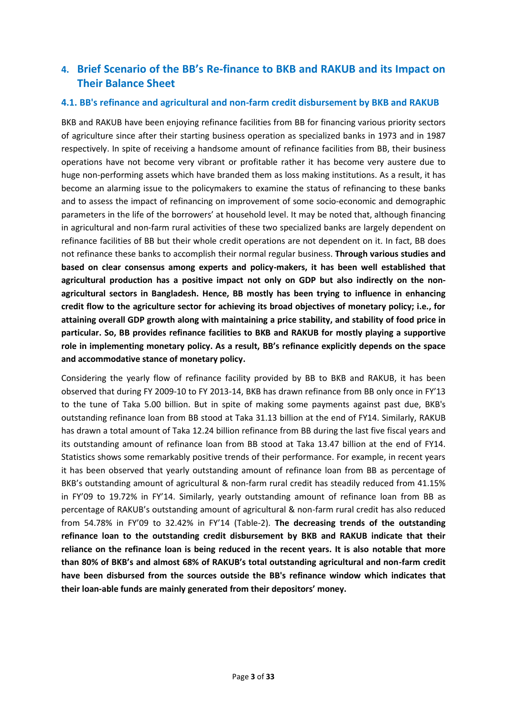# **4. Brief Scenario of the BB's Re-finance to BKB and RAKUB and its Impact on Their Balance Sheet**

## **4.1. BB's refinance and agricultural and non-farm credit disbursement by BKB and RAKUB**

BKB and RAKUB have been enjoying refinance facilities from BB for financing various priority sectors of agriculture since after their starting business operation as specialized banks in 1973 and in 1987 respectively. In spite of receiving a handsome amount of refinance facilities from BB, their business operations have not become very vibrant or profitable rather it has become very austere due to huge non-performing assets which have branded them as loss making institutions. As a result, it has become an alarming issue to the policymakers to examine the status of refinancing to these banks and to assess the impact of refinancing on improvement of some socio-economic and demographic parameters in the life of the borrowers' at household level. It may be noted that, although financing in agricultural and non-farm rural activities of these two specialized banks are largely dependent on refinance facilities of BB but their whole credit operations are not dependent on it. In fact, BB does not refinance these banks to accomplish their normal regular business. **Through various studies and based on clear consensus among experts and policy-makers, it has been well established that agricultural production has a positive impact not only on GDP but also indirectly on the non agricultural sectors in Bangladesh. Hence, BB mostly has been trying to influence in enhancing credit flow to the agriculture sector for achieving its broad objectives of monetary policy; i.e., for attaining overall GDP growth along with maintaining a price stability, and stability of food price in particular. So, BB provides refinance facilities to BKB and RAKUB for mostly playing a supportive role in implementing monetary policy. As a result, BB's refinance explicitly depends on the space and accommodative stance of monetary policy.**

Considering the yearly flow of refinance facility provided by BB to BKB and RAKUB, it has been observed that during FY 2009-10 to FY 2013-14, BKB has drawn refinance from BB only once in FY'13 to the tune of Taka 5.00 billion. But in spite of making some payments against past due, BKB's outstanding refinance loan from BB stood at Taka 31.13 billion at the end of FY14. Similarly, RAKUB has drawn a total amount of Taka 12.24 billion refinance from BB during the last five fiscal years and its outstanding amount of refinance loan from BB stood at Taka 13.47 billion at the end of FY14. Statistics shows some remarkably positive trends of their performance. For example, in recent years it has been observed that yearly outstanding amount of refinance loan from BB as percentage of BKB's outstanding amount of agricultural & non-farm rural credit has steadily reduced from 41.15% in FY'09 to 19.72% in FY'14. Similarly, yearly outstanding amount of refinance loan from BB as percentage of RAKUB's outstanding amount of agricultural & non-farm rural credit has also reduced from 54.78% in FY'09 to 32.42% in FY'14 (Table-2). **The decreasing trends of the outstanding refinance loan to the outstanding credit disbursement by BKB and RAKUB indicate that their reliance on the refinance loan is being reduced in the recent years. It is also notable that more than 80% of BKB's and almost 68% of RAKUB's total outstanding agricultural and non-farm credit have been disbursed from the sources outside the BB's refinance window which indicates that their loan-able funds are mainly generated from their depositors' money.**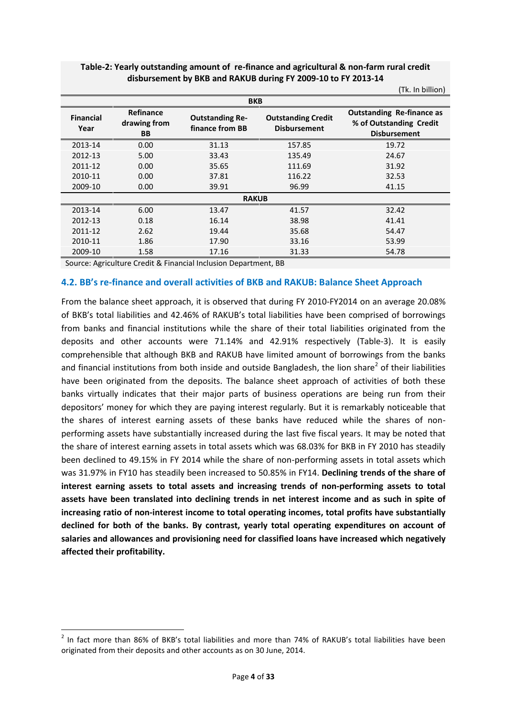|                          |                                               |                                           |                                                  | (Tk. In billion)                                                                   |  |  |  |  |  |  |  |
|--------------------------|-----------------------------------------------|-------------------------------------------|--------------------------------------------------|------------------------------------------------------------------------------------|--|--|--|--|--|--|--|
| <b>BKB</b>               |                                               |                                           |                                                  |                                                                                    |  |  |  |  |  |  |  |
| <b>Financial</b><br>Year | <b>Refinance</b><br>drawing from<br><b>BB</b> | <b>Outstanding Re-</b><br>finance from BB | <b>Outstanding Credit</b><br><b>Disbursement</b> | <b>Outstanding Re-finance as</b><br>% of Outstanding Credit<br><b>Disbursement</b> |  |  |  |  |  |  |  |
| 2013-14                  | 0.00                                          | 31.13                                     | 157.85                                           | 19.72                                                                              |  |  |  |  |  |  |  |
| 2012-13                  | 5.00                                          | 33.43                                     | 135.49                                           | 24.67                                                                              |  |  |  |  |  |  |  |
| 2011-12                  | 0.00                                          | 35.65                                     | 111.69                                           | 31.92                                                                              |  |  |  |  |  |  |  |
| 2010-11                  | 0.00                                          | 37.81                                     | 116.22                                           | 32.53                                                                              |  |  |  |  |  |  |  |
| 2009-10                  | 0.00 <sub>1</sub>                             | 39.91                                     | 96.99                                            | 41.15                                                                              |  |  |  |  |  |  |  |
|                          |                                               | <b>RAKUB</b>                              |                                                  |                                                                                    |  |  |  |  |  |  |  |
| 2013-14                  | 6.00                                          | 13.47                                     | 41.57                                            | 32.42                                                                              |  |  |  |  |  |  |  |
| 2012-13                  | 0.18                                          | 16.14                                     | 38.98                                            | 41.41                                                                              |  |  |  |  |  |  |  |
| 2011-12                  | 2.62                                          | 19.44                                     | 35.68                                            | 54.47                                                                              |  |  |  |  |  |  |  |
| 2010-11                  | 1.86                                          | 17.90                                     | 33.16                                            | 53.99                                                                              |  |  |  |  |  |  |  |
| 2009-10                  | 1.58                                          | 17.16                                     | 31.33                                            | 54.78                                                                              |  |  |  |  |  |  |  |

## **Table-2: Yearly outstanding amount of re-finance and agricultural & non-farm rural credit disbursement by BKB and RAKUB during FY 2009-10 to FY 2013-14**

Source: Agriculture Credit & Financial Inclusion Department, BB

### **4.2. BB's re-finance and overall activities of BKB and RAKUB: Balance Sheet Approach**

From the balance sheet approach, it is observed that during FY 2010-FY2014 on an average 20.08% of BKB's total liabilities and 42.46% of RAKUB's total liabilities have been comprised of borrowings from banks and financial institutions while the share of their total liabilities originated from the deposits and other accounts were 71.14% and 42.91% respectively (Table-3). It is easily comprehensible that although BKB and RAKUB have limited amount of borrowings from the banks and financial institutions from both inside and outside Bangladesh, the lion share<sup>2</sup> of their liabilities have been originated from the deposits. The balance sheet approach of activities of both these banks virtually indicates that their major parts of business operations are being run from their depositors' money for which they are paying interest regularly. But it is remarkably noticeable that the shares of interest earning assets of these banks have reduced while the shares of non performing assets have substantially increased during the last five fiscal years. It may be noted that the share of interest earning assets in total assets which was 68.03% for BKB in FY 2010 has steadily been declined to 49.15% in FY 2014 while the share of non-performing assets in total assets which was 31.97% in FY10 has steadily been increased to 50.85% in FY14. **Declining trends of the share of interest earning assets to total assets and increasing trends of non-performing assets to total assets have been translated into declining trends in net interest income and as such in spite of increasing ratio of non-interest income to total operating incomes, total profits have substantially declined for both of the banks. By contrast, yearly total operating expenditures on account of salaries and allowances and provisioning need for classified loans have increased which negatively affected their profitability.**

 $^{2}$  In fact more than 86% of BKB's total liabilities and more than 74% of RAKUB's total liabilities have been originated from their deposits and other accounts as on 30 June, 2014.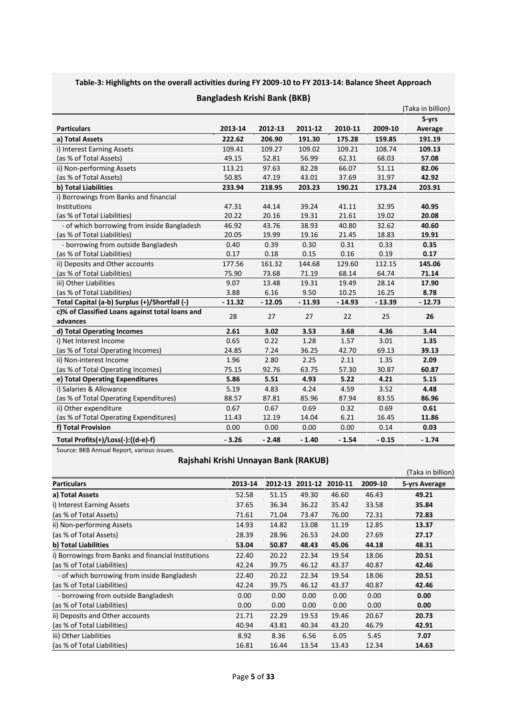## **Table-3: Highlights on the overall activities during FY 2009-10 to FY 2013-14: Balance Sheet Approach**

|                                                 |          |          |          |          |          | (Taka in billion) |
|-------------------------------------------------|----------|----------|----------|----------|----------|-------------------|
|                                                 |          |          |          |          |          | 5-yrs             |
| <b>Particulars</b>                              | 2013-14  | 2012-13  | 2011-12  | 2010-11  | 2009-10  | Average           |
| a) Total Assets                                 | 222.62   | 206.90   | 191.30   | 175.28   | 159.85   | 191.19            |
| i) Interest Earning Assets                      | 109.41   | 109.27   | 109.02   | 109.21   | 108.74   | 109.13            |
| (as % of Total Assets)                          | 49.15    | 52.81    | 56.99    | 62.31    | 68.03    | 57.08             |
| ii) Non-performing Assets                       | 113.21   | 97.63    | 82.28    | 66.07    | 51.11    | 82.06             |
| (as % of Total Assets)                          | 50.85    | 47.19    | 43.01    | 37.69    | 31.97    | 42.92             |
| b) Total Liabilities                            | 233.94   | 218.95   | 203.23   | 190.21   | 173.24   | 203.91            |
| i) Borrowings from Banks and financial          |          |          |          |          |          |                   |
| <b>Institutions</b>                             | 47.31    | 44.14    | 39.24    | 41.11    | 32.95    | 40.95             |
| (as % of Total Liabilities)                     | 20.22    | 20.16    | 19.31    | 21.61    | 19.02    | 20.08             |
| - of which borrowing from inside Bangladesh     | 46.92    | 43.76    | 38.93    | 40.80    | 32.62    | 40.60             |
| (as % of Total Liabilities)                     | 20.05    | 19.99    | 19.16    | 21.45    | 18.83    | 19.91             |
| - borrowing from outside Bangladesh             | 0.40     | 0.39     | 0.30     | 0.31     | 0.33     | 0.35              |
| (as % of Total Liabilities)                     | 0.17     | 0.18     | 0.15     | 0.16     | 0.19     | 0.17              |
| ii) Deposits and Other accounts                 | 177.56   | 161.32   | 144.68   | 129.60   | 112.15   | 145.06            |
| (as % of Total Liabilities)                     | 75.90    | 73.68    | 71.19    | 68.14    | 64.74    | 71.14             |
| iii) Other Liabilities                          | 9.07     | 13.48    | 19.31    | 19.49    | 28.14    | 17.90             |
| (as % of Total Liabilities)                     | 3.88     | 6.16     | 9.50     | 10.25    | 16.25    | 8.78              |
| Total Capital (a-b) Surplus (+)/Shortfall (-)   | $-11.32$ | $-12.05$ | $-11.93$ | $-14.93$ | $-13.39$ | $-12.73$          |
| c)% of Classified Loans against total loans and | 28       | 27       |          | 22       |          | 26                |
| advances                                        |          |          | 27       |          | 25       |                   |
| d) Total Operating Incomes                      | 2.61     | 3.02     | 3.53     | 3.68     | 4.36     | 3.44              |
| i) Net Interest Income                          | 0.65     | 0.22     | 1.28     | 1.57     | 3.01     | 1.35              |
| (as % of Total Operating Incomes)               | 24.85    | 7.24     | 36.25    | 42.70    | 69.13    | 39.13             |
| ii) Non-interest Income                         | 1.96     | 2.80     | 2.25     | 2.11     | 1.35     | 2.09              |
| (as % of Total Operating Incomes)               | 75.15    | 92.76    | 63.75    | 57.30    | 30.87    | 60.87             |
| e) Total Operating Expenditures                 | 5.86     | 5.51     | 4.93     | 5.22     | 4.21     | 5.15              |
| i) Salaries & Allowance                         | 5.19     | 4.83     | 4.24     | 4.59     | 3.52     | 4.48              |
| (as % of Total Operating Expenditures)          | 88.57    | 87.81    | 85.96    | 87.94    | 83.55    | 86.96             |
| ii) Other expenditure                           | 0.67     | 0.67     | 0.69     | 0.32     | 0.69     | 0.61              |
| (as % of Total Operating Expenditures)          | 11.43    | 12.19    | 14.04    | 6.21     | 16.45    | 11.86             |
| f) Total Provision                              | 0.00     | 0.00     | 0.00     | 0.00     | 0.14     | 0.03              |
| Total Profits(+)/Loss(-):{(d-e)-f}              | $-3.26$  | $-2.48$  | $-1.40$  | $-1.54$  | $-0.15$  | $-1.74$           |

### **Bangladesh Krishi Bank (BKB)**

Source: BKB Annual Report, various issues.

## **Rajshahi Krishi Unnayan Bank (RAKUB)**

|                                                     |         |         |         |         |         | (Taka in billion) |
|-----------------------------------------------------|---------|---------|---------|---------|---------|-------------------|
| <b>Particulars</b>                                  | 2013-14 | 2012-13 | 2011-12 | 2010-11 | 2009-10 | 5-yrs Average     |
| a) Total Assets                                     | 52.58   | 51.15   | 49.30   | 46.60   | 46.43   | 49.21             |
| i) Interest Earning Assets                          | 37.65   | 36.34   | 36.22   | 35.42   | 33.58   | 35.84             |
| (as % of Total Assets)                              | 71.61   | 71.04   | 73.47   | 76.00   | 72.31   | 72.83             |
| ii) Non-performing Assets                           | 14.93   | 14.82   | 13.08   | 11.19   | 12.85   | 13.37             |
| (as % of Total Assets)                              | 28.39   | 28.96   | 26.53   | 24.00   | 27.69   | 27.17             |
| b) Total Liabilities                                | 53.04   | 50.87   | 48.43   | 45.06   | 44.18   | 48.31             |
| i) Borrowings from Banks and financial Institutions | 22.40   | 20.22   | 22.34   | 19.54   | 18.06   | 20.51             |
| (as % of Total Liabilities)                         | 42.24   | 39.75   | 46.12   | 43.37   | 40.87   | 42.46             |
| - of which borrowing from inside Bangladesh         | 22.40   | 20.22   | 22.34   | 19.54   | 18.06   | 20.51             |
| (as % of Total Liabilities)                         | 42.24   | 39.75   | 46.12   | 43.37   | 40.87   | 42.46             |
| - borrowing from outside Bangladesh                 | 0.00    | 0.00    | 0.00    | 0.00    | 0.00    | 0.00              |
| (as % of Total Liabilities)                         | 0.00    | 0.00    | 0.00    | 0.00    | 0.00    | 0.00              |
| ii) Deposits and Other accounts                     | 21.71   | 22.29   | 19.53   | 19.46   | 20.67   | 20.73             |
| (as % of Total Liabilities)                         | 40.94   | 43.81   | 40.34   | 43.20   | 46.79   | 42.91             |
| iii) Other Liabilities                              | 8.92    | 8.36    | 6.56    | 6.05    | 5.45    | 7.07              |
| (as % of Total Liabilities)                         | 16.81   | 16.44   | 13.54   | 13.43   | 12.34   | 14.63             |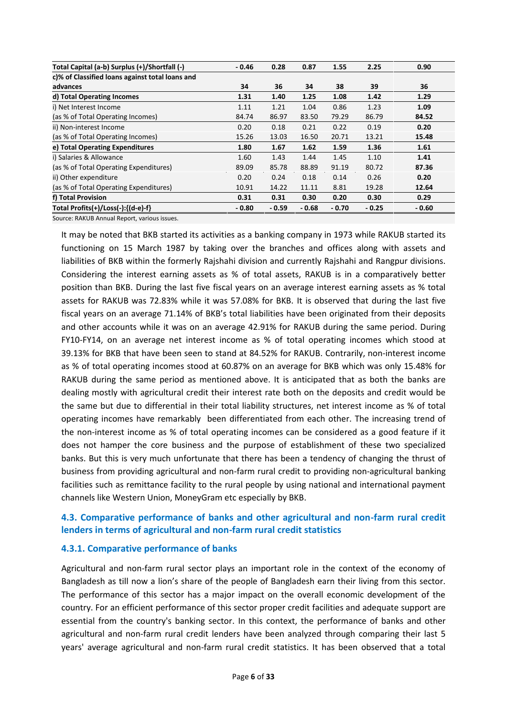| Total Capital (a-b) Surplus (+)/Shortfall (-)   | $-0.46$ | 0.28    | 0.87    | 1.55    | 2.25    | 0.90    |
|-------------------------------------------------|---------|---------|---------|---------|---------|---------|
| c)% of Classified loans against total loans and |         |         |         |         |         |         |
| advances                                        | 34      | 36      | 34      | 38      | 39      | 36      |
| d) Total Operating Incomes                      | 1.31    | 1.40    | 1.25    | 1.08    | 1.42    | 1.29    |
| i) Net Interest Income                          | 1.11    | 1.21    | 1.04    | 0.86    | 1.23    | 1.09    |
| (as % of Total Operating Incomes)               | 84.74   | 86.97   | 83.50   | 79.29   | 86.79   | 84.52   |
| ii) Non-interest Income                         | 0.20    | 0.18    | 0.21    | 0.22    | 0.19    | 0.20    |
| (as % of Total Operating Incomes)               | 15.26   | 13.03   | 16.50   | 20.71   | 13.21   | 15.48   |
| e) Total Operating Expenditures                 | 1.80    | 1.67    | 1.62    | 1.59    | 1.36    | 1.61    |
| i) Salaries & Allowance                         | 1.60    | 1.43    | 1.44    | 1.45    | 1.10    | 1.41    |
| (as % of Total Operating Expenditures)          | 89.09   | 85.78   | 88.89   | 91.19   | 80.72   | 87.36   |
| ii) Other expenditure                           | 0.20    | 0.24    | 0.18    | 0.14    | 0.26    | 0.20    |
| (as % of Total Operating Expenditures)          | 10.91   | 14.22   | 11.11   | 8.81    | 19.28   | 12.64   |
| f) Total Provision                              | 0.31    | 0.31    | 0.30    | 0.20    | 0.30    | 0.29    |
| Total Profits(+)/Loss(-):{(d-e)-f}              | $-0.80$ | $-0.59$ | $-0.68$ | $-0.70$ | $-0.25$ | $-0.60$ |

Source: RAKUB Annual Report, various issues.

It may be noted that BKB started its activities as a banking company in 1973 while RAKUB started its functioning on 15 March 1987 by taking over the branches and offices along with assets and liabilities of BKB within the formerly Rajshahi division and currently Rajshahi and Rangpur divisions. Considering the interest earning assets as % of total assets, RAKUB is in a comparatively better position than BKB. During the last five fiscal years on an average interest earning assets as % total assets for RAKUB was 72.83% while it was 57.08% for BKB. It is observed that during the last five fiscal years on an average 71.14% of BKB's total liabilities have been originated from their deposits and other accounts while it was on an average 42.91% for RAKUB during the same period. During FY10-FY14, on an average net interest income as % of total operating incomes which stood at 39.13% for BKB that have been seen to stand at 84.52% for RAKUB. Contrarily, non-interest income as % of total operating incomes stood at 60.87% on an average for BKB which was only 15.48% for RAKUB during the same period as mentioned above. It is anticipated that as both the banks are dealing mostly with agricultural credit their interest rate both on the deposits and credit would be the same but due to differential in their total liability structures, net interest income as % of total operating incomes have remarkably been differentiated from each other. The increasing trend of the non-interest income as % of total operating incomes can be considered as a good feature if it does not hamper the core business and the purpose of establishment of these two specialized banks. But this is very much unfortunate that there has been a tendency of changing the thrust of business from providing agricultural and non-farm rural credit to providing non-agricultural banking facilities such as remittance facility to the rural people by using national and international payment channels like Western Union, MoneyGram etc especially by BKB.

## **4.3. Comparative performance of banks and other agricultural and non-farm rural credit lenders in terms of agricultural and non-farm rural credit statistics**

## **4.3.1. Comparative performance of banks**

Agricultural and non-farm rural sector plays an important role in the context of the economy of Bangladesh as till now a lion's share of the people of Bangladesh earn their living from this sector. The performance of this sector has a major impact on the overall economic development of the country. For an efficient performance of this sector proper credit facilities and adequate support are essential from the country's banking sector. In this context, the performance of banks and other agricultural and non-farm rural credit lenders have been analyzed through comparing their last 5 years' average agricultural and non-farm rural credit statistics. It has been observed that a total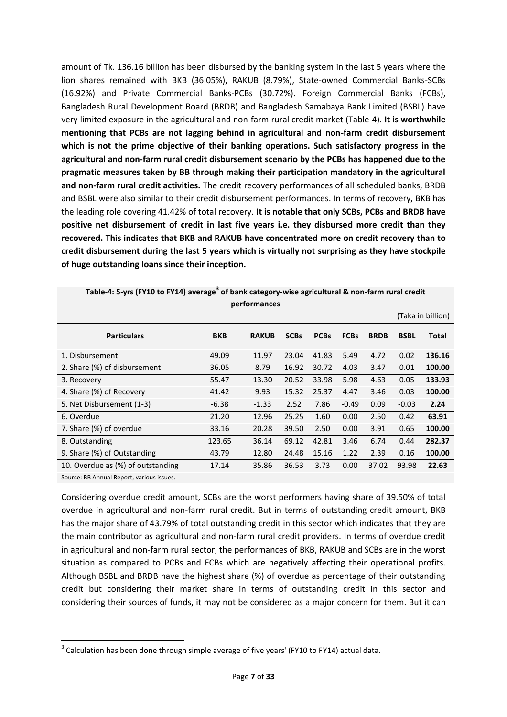amount of Tk. 136.16 billion has been disbursed by the banking system in the last 5 years where the lion shares remained with BKB (36.05%), RAKUB (8.79%), State-owned Commercial Banks-SCBs (16.92%) and Private Commercial Banks-PCBs (30.72%). Foreign Commercial Banks (FCBs), Bangladesh Rural Development Board (BRDB) and Bangladesh Samabaya Bank Limited (BSBL) have very limited exposure in the agricultural and non-farm rural credit market (Table-4). **It is worthwhile mentioning that PCBs are not lagging behind in agricultural and non-farm credit disbursement which is not the prime objective of their banking operations. Such satisfactory progress in the agricultural and non-farm rural credit disbursement scenario by the PCBs has happened due to the pragmatic measures taken by BB through making their participation mandatory in the agricultural and non-farm rural credit activities.** The credit recovery performances of all scheduled banks, BRDB and BSBL were also similar to their credit disbursement performances. In terms of recovery, BKB has the leading role covering 41.42% of total recovery. **It is notable that only SCBs, PCBs and BRDB have positive net disbursement of credit in last five years i.e. they disbursed more credit than they recovered. This indicates that BKB and RAKUB have concentrated more on credit recovery than to credit disbursement during the last 5 years which is virtually not surprising as they have stockpile of huge outstanding loans since their inception.**

|                                   |            |              |             |             |             |             |             | (Taka in billion) |
|-----------------------------------|------------|--------------|-------------|-------------|-------------|-------------|-------------|-------------------|
| <b>Particulars</b>                | <b>BKB</b> | <b>RAKUB</b> | <b>SCBs</b> | <b>PCBs</b> | <b>FCBs</b> | <b>BRDB</b> | <b>BSBL</b> | Total             |
| 1. Disbursement                   | 49.09      | 11.97        | 23.04       | 41.83       | 5.49        | 4.72        | 0.02        | 136.16            |
| 2. Share (%) of disbursement      | 36.05      | 8.79         | 16.92       | 30.72       | 4.03        | 3.47        | 0.01        | 100.00            |
| 3. Recovery                       | 55.47      | 13.30        | 20.52       | 33.98       | 5.98        | 4.63        | 0.05        | 133.93            |
| 4. Share (%) of Recovery          | 41.42      | 9.93         | 15.32       | 25.37       | 4.47        | 3.46        | 0.03        | 100.00            |
| 5. Net Disbursement (1-3)         | $-6.38$    | $-1.33$      | 2.52        | 7.86        | $-0.49$     | 0.09        | $-0.03$     | 2.24              |
| 6. Overdue                        | 21.20      | 12.96        | 25.25       | 1.60        | 0.00        | 2.50        | 0.42        | 63.91             |
| 7. Share (%) of overdue           | 33.16      | 20.28        | 39.50       | 2.50        | 0.00        | 3.91        | 0.65        | 100.00            |
| 8. Outstanding                    | 123.65     | 36.14        | 69.12       | 42.81       | 3.46        | 6.74        | 0.44        | 282.37            |
| 9. Share (%) of Outstanding       | 43.79      | 12.80        | 24.48       | 15.16       | 1.22        | 2.39        | 0.16        | 100.00            |
| 10. Overdue as (%) of outstanding | 17.14      | 35.86        | 36.53       | 3.73        | 0.00        | 37.02       | 93.98       | 22.63             |
|                                   |            |              |             |             |             |             |             |                   |

**Table-4: 5-yrs (FY10 to FY14) average<sup>3</sup> of bank category-wise agricultural & non-farm rural credit performances**

Source: BB Annual Report, various issues.

Considering overdue credit amount, SCBs are the worst performers having share of 39.50% of total overdue in agricultural and non-farm rural credit. But in terms of outstanding credit amount, BKB has the major share of 43.79% of total outstanding credit in this sector which indicates that they are the main contributor as agricultural and non-farm rural credit providers. In terms of overdue credit in agricultural and non-farm rural sector, the performances of BKB, RAKUB and SCBs are in the worst situation as compared to PCBs and FCBs which are negatively affecting their operational profits. Although BSBL and BRDB have the highest share (%) of overdue as percentage of their outstanding credit but considering their market share in terms of outstanding credit in this sector and considering their sources of funds, it may not be considered as a major concern for them. But it can

 $3$  Calculation has been done through simple average of five years' (FY10 to FY14) actual data.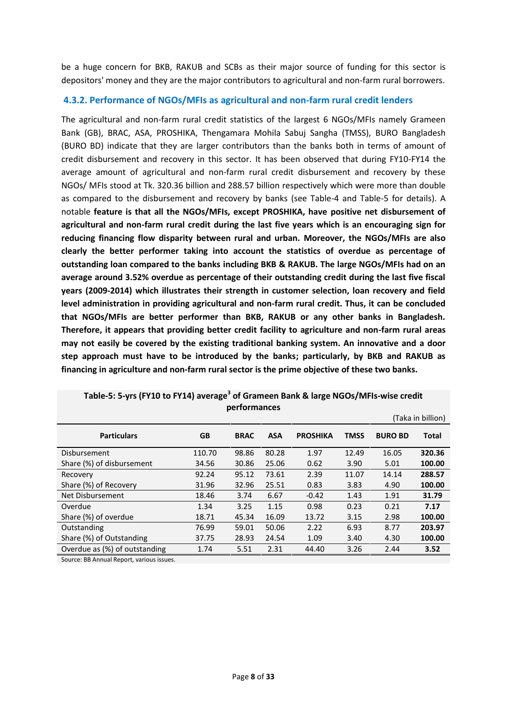be a huge concern for BKB, RAKUB and SCBs as their major source of funding for this sector is depositors' money and they are the major contributors to agricultural and non-farm rural borrowers.

## **4.3.2. Performance of NGOs/MFIs as agricultural and non-farm rural credit lenders**

The agricultural and non-farm rural credit statistics of the largest 6 NGOs/MFIs namely Grameen Bank (GB), BRAC, ASA, PROSHIKA, Thengamara Mohila Sabuj Sangha (TMSS), BURO Bangladesh (BURO BD) indicate that they are larger contributors than the banks both in terms of amount of credit disbursement and recovery in this sector. It has been observed that during FY10-FY14 the average amount of agricultural and non-farm rural credit disbursement and recovery by these NGOs/ MFIs stood at Tk. 320.36 billion and 288.57 billion respectively which were more than double as compared to the disbursement and recovery by banks (see Table-4 and Table-5 for details). A notable **feature is that all the NGOs/MFIs, except PROSHIKA, have positive net disbursement of agricultural and non-farm rural credit during the last five years which is an encouraging sign for reducing financing flow disparity between rural and urban. Moreover, the NGOs/MFIs are also clearly the better performer taking into account the statistics of overdue as percentage of outstanding loan compared to the banks including BKB & RAKUB. The large NGOs/MFIs had on an average around 3.52% overdue as percentage of their outstanding credit during the last five fiscal years (2009-2014) which illustrates their strength in customer selection, loan recovery and field level administration in providing agricultural and non-farm rural credit. Thus, it can be concluded that NGOs/MFIs are better performer than BKB, RAKUB or any other banks in Bangladesh. Therefore, it appears that providing better credit facility to agriculture and non-farm rural areas may not easily be covered by the existing traditional banking system. An innovative and a door step approach must have to be introduced by the banks; particularly, by BKB and RAKUB as financing in agriculture and non-farm rural sector is the prime objective of these two banks.**

| <b>PELIOLILIALICES</b>        |           |             |            |                 |             |                |                   |  |  |
|-------------------------------|-----------|-------------|------------|-----------------|-------------|----------------|-------------------|--|--|
|                               |           |             |            |                 |             |                | (Taka in billion) |  |  |
| <b>Particulars</b>            | <b>GB</b> | <b>BRAC</b> | <b>ASA</b> | <b>PROSHIKA</b> | <b>TMSS</b> | <b>BURO BD</b> | <b>Total</b>      |  |  |
| <b>Disbursement</b>           | 110.70    | 98.86       | 80.28      | 1.97            | 12.49       | 16.05          | 320.36            |  |  |
| Share (%) of disbursement     | 34.56     | 30.86       | 25.06      | 0.62            | 3.90        | 5.01           | 100.00            |  |  |
| Recovery                      | 92.24     | 95.12       | 73.61      | 2.39            | 11.07       | 14.14          | 288.57            |  |  |
| Share (%) of Recovery         | 31.96     | 32.96       | 25.51      | 0.83            | 3.83        | 4.90           | 100.00            |  |  |
| Net Disbursement              | 18.46     | 3.74        | 6.67       | $-0.42$         | 1.43        | 1.91           | 31.79             |  |  |
| Overdue                       | 1.34      | 3.25        | 1.15       | 0.98            | 0.23        | 0.21           | 7.17              |  |  |
| Share (%) of overdue          | 18.71     | 45.34       | 16.09      | 13.72           | 3.15        | 2.98           | 100.00            |  |  |
| Outstanding                   | 76.99     | 59.01       | 50.06      | 2.22            | 6.93        | 8.77           | 203.97            |  |  |
| Share (%) of Outstanding      | 37.75     | 28.93       | 24.54      | 1.09            | 3.40        | 4.30           | 100.00            |  |  |
| Overdue as (%) of outstanding | 1.74      | 5.51        | 2.31       | 44.40           | 3.26        | 2.44           | 3.52              |  |  |

## **Table-5: 5-yrs (FY10 to FY14) average<sup>3</sup> of Grameen Bank & large NGOs/MFIs-wise credit performances**

Source: BB Annual Report, various issues.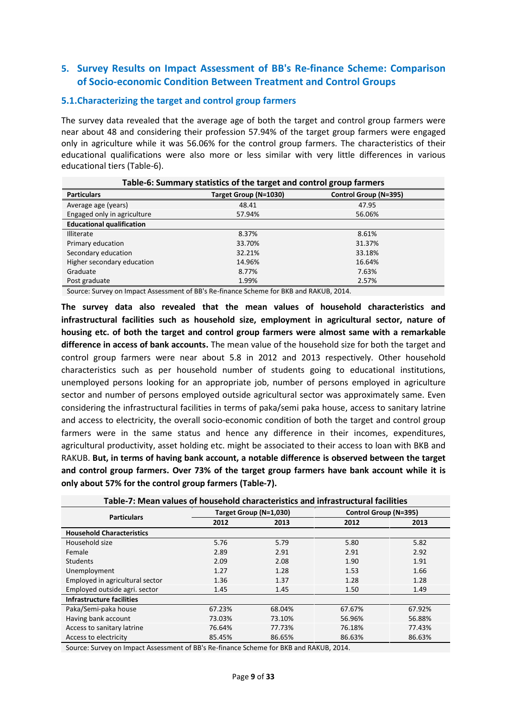## **5. Survey Results on Impact Assessment of BB's Re-finance Scheme: Comparison of Socio-economic Condition Between Treatment and Control Groups**

### **5.1.Characterizing the target and control group farmers**

The survey data revealed that the average age of both the target and control group farmers were near about 48 and considering their profession 57.94% of the target group farmers were engaged only in agriculture while it was 56.06% for the control group farmers. The characteristics of their educational qualifications were also more or less similar with very little differences in various educational tiers (Table-6).

|                                  | Table-6: Summary statistics of the target and control group farmers |                       |  |  |  |  |  |  |  |  |
|----------------------------------|---------------------------------------------------------------------|-----------------------|--|--|--|--|--|--|--|--|
| <b>Particulars</b>               | Target Group (N=1030)                                               | Control Group (N=395) |  |  |  |  |  |  |  |  |
| Average age (years)              | 48.41                                                               | 47.95                 |  |  |  |  |  |  |  |  |
| Engaged only in agriculture      | 57.94%                                                              | 56.06%                |  |  |  |  |  |  |  |  |
| <b>Educational qualification</b> |                                                                     |                       |  |  |  |  |  |  |  |  |
| <b>Illiterate</b>                | 8.37%                                                               | 8.61%                 |  |  |  |  |  |  |  |  |
| Primary education                | 33.70%                                                              | 31.37%                |  |  |  |  |  |  |  |  |
| Secondary education              | 32.21%                                                              | 33.18%                |  |  |  |  |  |  |  |  |
| Higher secondary education       | 14.96%                                                              | 16.64%                |  |  |  |  |  |  |  |  |
| Graduate                         | 8.77%                                                               | 7.63%                 |  |  |  |  |  |  |  |  |
| Post graduate                    | 1.99%                                                               | 2.57%                 |  |  |  |  |  |  |  |  |

Source: Survey on Impact Assessment of BB's Re-finance Scheme for BKB and RAKUB, 2014.

**The survey data also revealed that the mean values of household characteristics and infrastructural facilities such as household size, employment in agricultural sector, nature of housing etc. of both the target and control group farmers were almost same with a remarkable difference in access of bank accounts.** The mean value of the household size for both the target and control group farmers were near about 5.8 in 2012 and 2013 respectively. Other household characteristics such as per household number of students going to educational institutions, unemployed persons looking for an appropriate job, number of persons employed in agriculture sector and number of persons employed outside agricultural sector was approximately same. Even considering the infrastructural facilities in terms of paka/semi paka house, access to sanitary latrine and access to electricity, the overall socio-economic condition of both the target and control group farmers were in the same status and hence any difference in their incomes, expenditures, agricultural productivity, asset holding etc. might be associated to their access to loan with BKB and RAKUB. **But, in terms of having bank account, a notable difference is observed between the target and control group farmers. Over 73% of the target group farmers have bank account while it is only about 57% for the control group farmers (Table-7).**

| Table-7: Mean values of household characteristics and infrastructural facilities |        |                        |                       |        |  |  |  |  |  |  |
|----------------------------------------------------------------------------------|--------|------------------------|-----------------------|--------|--|--|--|--|--|--|
| <b>Particulars</b>                                                               |        | Target Group (N=1,030) | Control Group (N=395) |        |  |  |  |  |  |  |
|                                                                                  | 2012   | 2013                   | 2012                  | 2013   |  |  |  |  |  |  |
| <b>Household Characteristics</b>                                                 |        |                        |                       |        |  |  |  |  |  |  |
| Household size                                                                   | 5.76   | 5.79                   | 5.80                  | 5.82   |  |  |  |  |  |  |
| Female                                                                           | 2.89   | 2.91                   | 2.91                  | 2.92   |  |  |  |  |  |  |
| <b>Students</b>                                                                  | 2.09   | 2.08                   | 1.90                  | 1.91   |  |  |  |  |  |  |
| Unemployment                                                                     | 1.27   | 1.28                   | 1.53                  | 1.66   |  |  |  |  |  |  |
| Employed in agricultural sector                                                  | 1.36   | 1.37                   | 1.28                  | 1.28   |  |  |  |  |  |  |
| Employed outside agri. sector                                                    | 1.45   | 1.45                   | 1.50                  | 1.49   |  |  |  |  |  |  |
| Infrastructure facilities                                                        |        |                        |                       |        |  |  |  |  |  |  |
| Paka/Semi-paka house                                                             | 67.23% | 68.04%                 | 67.67%                | 67.92% |  |  |  |  |  |  |
| Having bank account                                                              | 73.03% | 73.10%                 | 56.96%                | 56.88% |  |  |  |  |  |  |
| Access to sanitary latrine                                                       | 76.64% | 77.73%                 | 76.18%                | 77.43% |  |  |  |  |  |  |
| Access to electricity                                                            | 85.45% | 86.65%                 | 86.63%                | 86.63% |  |  |  |  |  |  |

**Table-7: Mean values of household characteristics and infrastructural facilities**

Source: Survey on Impact Assessment of BB's Re-finance Scheme for BKB and RAKUB, 2014.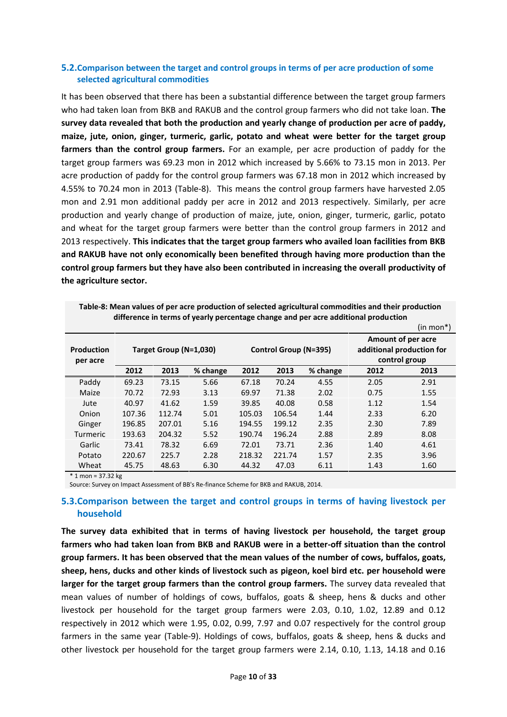### **5.2.Comparison between the target and control groups in terms of per acre production of some selected agricultural commodities**

It has been observed that there has been a substantial difference between the target group farmers who had taken loan from BKB and RAKUB and the control group farmers who did not take loan. **The survey data revealed that both the production and yearly change of production per acre of paddy, maize, jute, onion, ginger, turmeric, garlic, potato and wheat were better for the target group farmers than the control group farmers.** For an example, per acre production of paddy for the target group farmers was 69.23 mon in 2012 which increased by 5.66% to 73.15 mon in 2013. Per acre production of paddy for the control group farmers was 67.18 mon in 2012 which increased by 4.55% to 70.24 mon in 2013 (Table-8). This means the control group farmers have harvested 2.05 mon and 2.91 mon additional paddy per acre in 2012 and 2013 respectively. Similarly, per acre production and yearly change of production of maize, jute, onion, ginger, turmeric, garlic, potato and wheat for the target group farmers were better than the control group farmers in 2012 and 2013 respectively. **This indicates that the target group farmers who availed loan facilities from BKB and RAKUB have not only economically been benefited through having more production than the control group farmers but they have also been contributed in increasing the overall productivity of the agriculture sector.**

|                               |                        |        |          |        |        |                       |      | $(in mon*)$                                                      |
|-------------------------------|------------------------|--------|----------|--------|--------|-----------------------|------|------------------------------------------------------------------|
| <b>Production</b><br>per acre | Target Group (N=1,030) |        |          |        |        | Control Group (N=395) |      | Amount of per acre<br>additional production for<br>control group |
|                               | 2012                   | 2013   | % change | 2012   | 2013   | % change              | 2012 | 2013                                                             |
| Paddy                         | 69.23                  | 73.15  | 5.66     | 67.18  | 70.24  | 4.55                  | 2.05 | 2.91                                                             |
| Maize                         | 70.72                  | 72.93  | 3.13     | 69.97  | 71.38  | 2.02                  | 0.75 | 1.55                                                             |
| Jute                          | 40.97                  | 41.62  | 1.59     | 39.85  | 40.08  | 0.58                  | 1.12 | 1.54                                                             |
| Onion                         | 107.36                 | 112.74 | 5.01     | 105.03 | 106.54 | 1.44                  | 2.33 | 6.20                                                             |
| Ginger                        | 196.85                 | 207.01 | 5.16     | 194.55 | 199.12 | 2.35                  | 2.30 | 7.89                                                             |
| <b>Turmeric</b>               | 193.63                 | 204.32 | 5.52     | 190.74 | 196.24 | 2.88                  | 2.89 | 8.08                                                             |
| Garlic                        | 73.41                  | 78.32  | 6.69     | 72.01  | 73.71  | 2.36                  | 1.40 | 4.61                                                             |
| Potato                        | 220.67                 | 225.7  | 2.28     | 218.32 | 221.74 | 1.57                  | 2.35 | 3.96                                                             |
| Wheat                         | 45.75                  | 48.63  | 6.30     | 44.32  | 47.03  | 6.11                  | 1.43 | 1.60                                                             |

**Table-8: Mean values of per acre production of selected agricultural commodities and their production difference in terms of yearly percentage change and per acre additional production**

\* 1 mon = 37.32 kg

Source: Survey on Impact Assessment of BB's Re-finance Scheme for BKB and RAKUB, 2014.

## **5.3.Comparison between the target and control groups in terms of having livestock per household**

**The survey data exhibited that in terms of having livestock per household, the target group farmers who had taken loan from BKB and RAKUB were in a better-off situation than the control group farmers. It has been observed that the mean values of the number of cows, buffalos, goats, sheep, hens, ducks and other kinds of livestock such as pigeon, koel bird etc. per household were larger for the target group farmers than the control group farmers.** The survey data revealed that mean values of number of holdings of cows, buffalos, goats & sheep, hens & ducks and other livestock per household for the target group farmers were 2.03, 0.10, 1.02, 12.89 and 0.12 respectively in 2012 which were 1.95, 0.02, 0.99, 7.97 and 0.07 respectively for the control group farmers in the same year (Table-9). Holdings of cows, buffalos, goats & sheep, hens & ducks and other livestock per household for the target group farmers were 2.14, 0.10, 1.13, 14.18 and 0.16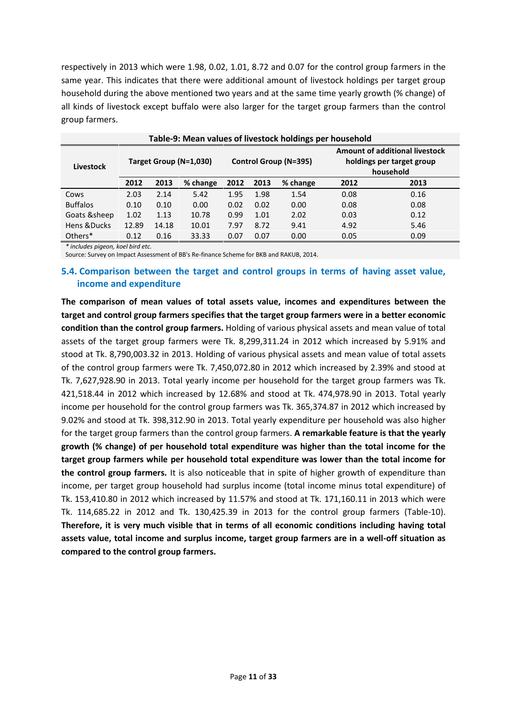respectively in 2013 which were 1.98, 0.02, 1.01, 8.72 and 0.07 for the control group farmers in the same year. This indicates that there were additional amount of livestock holdings per target group household during the above mentioned two years and at the same time yearly growth (% change) of all kinds of livestock except buffalo were also larger for the target group farmers than the control group farmers.

|                 | Table-9: Mean values of livestock holdings per household |       |                        |      |      |                       |                                                                                 |      |  |  |  |  |
|-----------------|----------------------------------------------------------|-------|------------------------|------|------|-----------------------|---------------------------------------------------------------------------------|------|--|--|--|--|
| Livestock       |                                                          |       | Target Group (N=1,030) |      |      | Control Group (N=395) | <b>Amount of additional livestock</b><br>holdings per target group<br>household |      |  |  |  |  |
|                 | 2012                                                     | 2013  | % change               | 2012 | 2013 | % change              | 2012                                                                            | 2013 |  |  |  |  |
| Cows            | 2.03                                                     | 2.14  | 5.42                   | 1.95 | 1.98 | 1.54                  | 0.08                                                                            | 0.16 |  |  |  |  |
| <b>Buffalos</b> | 0.10                                                     | 0.10  | 0.00                   | 0.02 | 0.02 | 0.00                  | 0.08                                                                            | 0.08 |  |  |  |  |
| Goats & sheep   | 1.02                                                     | 1.13  | 10.78                  | 0.99 | 1.01 | 2.02                  | 0.03                                                                            | 0.12 |  |  |  |  |
| Hens &Ducks     | 12.89                                                    | 14.18 | 10.01                  | 7.97 | 8.72 | 9.41                  | 4.92                                                                            | 5.46 |  |  |  |  |
| Others*         | 0.12                                                     | 0.16  | 33.33                  | 0.07 | 0.07 | 0.00                  | 0.05                                                                            | 0.09 |  |  |  |  |

*\* includes pigeon, koel bird etc.*

Source: Survey on Impact Assessment of BB's Re-finance Scheme for BKB and RAKUB, 2014.

## **5.4. Comparison between the target and control groups in terms of having asset value, income and expenditure**

**The comparison of mean values of total assets value, incomes and expenditures between the target and control group farmers specifies that the target group farmers were in a better economic condition than the control group farmers.** Holding of various physical assets and mean value of total assets of the target group farmers were Tk. 8,299,311.24 in 2012 which increased by 5.91% and stood at Tk. 8,790,003.32 in 2013. Holding of various physical assets and mean value of total assets of the control group farmers were Tk. 7,450,072.80 in 2012 which increased by 2.39% and stood at Tk. 7,627,928.90 in 2013. Total yearly income per household for the target group farmers was Tk. 421,518.44 in 2012 which increased by 12.68% and stood at Tk. 474,978.90 in 2013. Total yearly income per household for the control group farmers was Tk. 365,374.87 in 2012 which increased by 9.02% and stood at Tk. 398,312.90 in 2013. Total yearly expenditure per household was also higher for the target group farmers than the control group farmers. **A remarkable feature is that the yearly growth (% change) of per household total expenditure was higher than the total income for the target group farmers while per household total expenditure was lower than the total income for the control group farmers.** It is also noticeable that in spite of higher growth of expenditure than income, per target group household had surplus income (total income minus total expenditure) of Tk. 153,410.80 in 2012 which increased by 11.57% and stood at Tk. 171,160.11 in 2013 which were Tk. 114,685.22 in 2012 and Tk. 130,425.39 in 2013 for the control group farmers (Table-10). **Therefore, it is very much visible that in terms of all economic conditions including having total assets value, total income and surplus income, target group farmers are in a well-off situation as compared to the control group farmers.**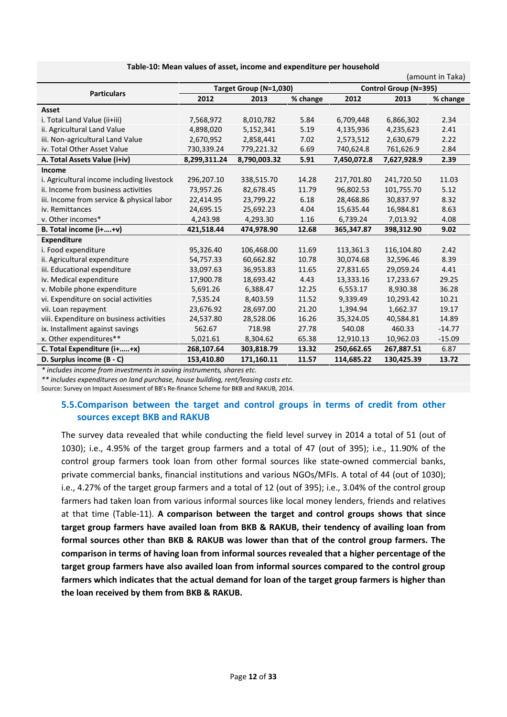|                                            |                          |                        |       |                       |             | (amount in Taka) |  |  |
|--------------------------------------------|--------------------------|------------------------|-------|-----------------------|-------------|------------------|--|--|
| <b>Particulars</b>                         |                          | Target Group (N=1,030) |       | Control Group (N=395) |             |                  |  |  |
|                                            | 2012<br>2013<br>% change |                        |       | 2012                  | 2013        | % change         |  |  |
| Asset                                      |                          |                        |       |                       |             |                  |  |  |
| i. Total Land Value (ii+iii)               | 7,568,972                | 8,010,782              | 5.84  | 6,709,448             | 6,866,302   | 2.34             |  |  |
| ii. Agricultural Land Value                | 4,898,020                | 5,152,341              | 5.19  | 4,135,936             | 4,235,623   | 2.41             |  |  |
| iii. Non-agricultural Land Value           | 2,670,952                | 2,858,441              | 7.02  | 2,573,512             | 2,630,679   | 2.22             |  |  |
| iv. Total Other Asset Value                | 730,339.24               | 779,221.32             | 6.69  | 740,624.8             | 761,626.9   | 2.84             |  |  |
| A. Total Assets Value (i+iv)               | 8,299,311.24             | 8,790,003.32           | 5.91  | 7,450,072.8           | 7,627,928.9 | 2.39             |  |  |
| Income                                     |                          |                        |       |                       |             |                  |  |  |
| i. Agricultural income including livestock | 296,207.10               | 338,515.70             | 14.28 | 217,701.80            | 241,720.50  | 11.03            |  |  |
| ii. Income from business activities        | 73,957.26                | 82,678.45              | 11.79 | 96,802.53             | 101,755.70  | 5.12             |  |  |
| iii. Income from service & physical labor  | 22,414.95                | 23,799.22              | 6.18  | 28,468.86             | 30,837.97   | 8.32             |  |  |
| iv. Remittances                            | 24,695.15                | 25,692.23              | 4.04  | 15,635.44             | 16,984.81   | 8.63             |  |  |
| v. Other incomes*                          | 4,243.98                 | 4,293.30               | 1.16  | 6,739.24              | 7,013.92    | 4.08             |  |  |
| B. Total income (i++v)                     | 421,518.44               | 474,978.90             | 12.68 | 365,347.87            | 398,312.90  | 9.02             |  |  |
| <b>Expenditure</b>                         |                          |                        |       |                       |             |                  |  |  |
| i. Food expenditure                        | 95,326.40                | 106,468.00             | 11.69 | 113,361.3             | 116,104.80  | 2.42             |  |  |
| ii. Agricultural expenditure               | 54,757.33                | 60,662.82              | 10.78 | 30,074.68             | 32,596.46   | 8.39             |  |  |
| iii. Educational expenditure               | 33,097.63                | 36,953.83              | 11.65 | 27,831.65             | 29,059.24   | 4.41             |  |  |
| iv. Medical expenditure                    | 17,900.78                | 18,693.42              | 4.43  | 13,333.16             | 17,233.67   | 29.25            |  |  |
| v. Mobile phone expenditure                | 5,691.26                 | 6,388.47               | 12.25 | 6,553.17              | 8,930.38    | 36.28            |  |  |
| vi. Expenditure on social activities       | 7,535.24                 | 8,403.59               | 11.52 | 9,339.49              | 10,293.42   | 10.21            |  |  |
| vii. Loan repayment                        | 23,676.92                | 28,697.00              | 21.20 | 1,394.94              | 1,662.37    | 19.17            |  |  |
| viii. Expenditure on business activities   | 24,537.80                | 28,528.06              | 16.26 | 35,324.05             | 40,584.81   | 14.89            |  |  |
| ix. Installment against savings            | 562.67                   | 718.98                 | 27.78 | 540.08                | 460.33      | $-14.77$         |  |  |
| x. Other expenditures**                    | 5,021.61                 | 8,304.62               | 65.38 | 12,910.13             | 10,962.03   | $-15.09$         |  |  |
| C. Total Expenditure (i++x)                | 268,107.64               | 303,818.79             | 13.32 | 250,662.65            | 267,887.51  | 6.87             |  |  |
| D. Surplus income (B - C)                  | 153,410.80               | 171,160.11             | 11.57 | 114,685.22            | 130,425.39  | 13.72            |  |  |

**Table-10: Mean values of asset, income and expenditure per household**

*\* includes income from investments in saving instruments, shares etc.*

*\*\* includes expenditures on land purchase, house building, rent/leasing costs etc.*

Source: Survey on Impact Assessment of BB's Re-finance Scheme for BKB and RAKUB, 2014.

## **5.5.Comparison between the target and control groups in terms of credit from other sources except BKB and RAKUB**

The survey data revealed that while conducting the field level survey in 2014 a total of 51 (out of 1030); i.e., 4.95% of the target group farmers and a total of 47 (out of 395); i.e., 11.90% of the control group farmers took loan from other formal sources like state-owned commercial banks, private commercial banks, financial institutions and various NGOs/MFIs. A total of 44 (out of 1030); i.e., 4.27% of the target group farmers and a total of 12 (out of 395); i.e., 3.04% of the control group farmers had taken loan from various informal sources like local money lenders, friends and relatives at that time (Table-11). **A comparison between the target and control groups shows that since target group farmers have availed loan from BKB & RAKUB, their tendency of availing loan from formal sources other than BKB & RAKUB was lower than that of the control group farmers. The comparison in terms of having loan from informal sources revealed that a higher percentage of the target group farmers have also availed loan from informal sources compared to the control group farmers which indicates that the actual demand for loan of the target group farmers is higher than the loan received by them from BKB & RAKUB.**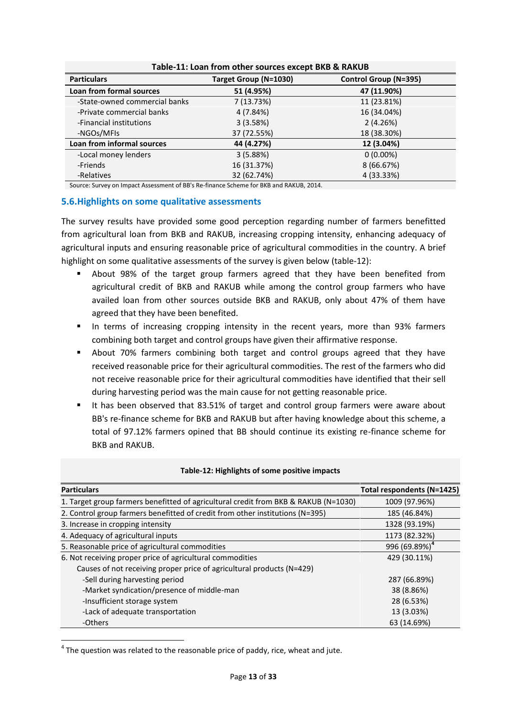|                               | Table-11: Loan from other sources except BKB & RAKUB |                       |
|-------------------------------|------------------------------------------------------|-----------------------|
| <b>Particulars</b>            | Target Group (N=1030)                                | Control Group (N=395) |
| Loan from formal sources      | 51 (4.95%)                                           | 47 (11.90%)           |
| -State-owned commercial banks | 7 (13.73%)                                           | 11 (23.81%)           |
| -Private commercial banks     | 4 (7.84%)                                            | 16 (34.04%)           |
| -Financial institutions       | 3(3.58%)                                             | 2(4.26%)              |
| -NGOs/MFIs                    | 37 (72.55%)                                          | 18 (38.30%)           |
| Loan from informal sources    | 44 (4.27%)                                           | 12 (3.04%)            |
| -Local money lenders          | 3(5.88%)                                             | $0(0.00\%)$           |
| -Friends                      | 16 (31.37%)                                          | 8 (66.67%)            |
| -Relatives                    | 32 (62.74%)                                          | 4 (33.33%)            |

Source: Survey on Impact Assessment of BB's Re-finance Scheme for BKB and RAKUB, 2014.

#### **5.6.Highlights on some qualitative assessments**

The survey results have provided some good perception regarding number of farmers benefitted from agricultural loan from BKB and RAKUB, increasing cropping intensity, enhancing adequacy of agricultural inputs and ensuring reasonable price of agricultural commodities in the country. A brief highlight on some qualitative assessments of the survey is given below (table-12):

- About 98% of the target group farmers agreed that they have been benefited from agricultural credit of BKB and RAKUB while among the control group farmers who have availed loan from other sources outside BKB and RAKUB, only about 47% of them have agreed that they have been benefited.
- In terms of increasing cropping intensity in the recent years, more than 93% farmers combining both target and control groups have given their affirmative response.
- About 70% farmers combining both target and control groups agreed that they have received reasonable price for their agricultural commodities. The rest of the farmers who did not receive reasonable price for their agricultural commodities have identified that their sell during harvesting period was the main cause for not getting reasonable price.
- It has been observed that 83.51% of target and control group farmers were aware about BB's re-finance scheme for BKB and RAKUB but after having knowledge about this scheme, a total of 97.12% farmers opined that BB should continue its existing re-finance scheme for BKB and RAKUB.

| <b>Particulars</b>                                                                  | Total respondents (N=1425) |
|-------------------------------------------------------------------------------------|----------------------------|
| 1. Target group farmers benefitted of agricultural credit from BKB & RAKUB (N=1030) | 1009 (97.96%)              |
| 2. Control group farmers benefitted of credit from other institutions (N=395)       | 185 (46.84%)               |
| 3. Increase in cropping intensity                                                   | 1328 (93.19%)              |
| 4. Adequacy of agricultural inputs                                                  | 1173 (82.32%)              |
| 5. Reasonable price of agricultural commodities                                     | 996 (69.89%) <sup>4</sup>  |
| 6. Not receiving proper price of agricultural commodities                           | 429 (30.11%)               |
| Causes of not receiving proper price of agricultural products (N=429)               |                            |
| -Sell during harvesting period                                                      | 287 (66.89%)               |
| -Market syndication/presence of middle-man                                          | 38 (8.86%)                 |
| -Insufficient storage system                                                        | 28 (6.53%)                 |
| -Lack of adequate transportation                                                    | 13 (3.03%)                 |
| -Others                                                                             | 63 (14.69%)                |

#### **Table-12: Highlights of some positive impacts**

 $4$  The question was related to the reasonable price of paddy, rice, wheat and jute.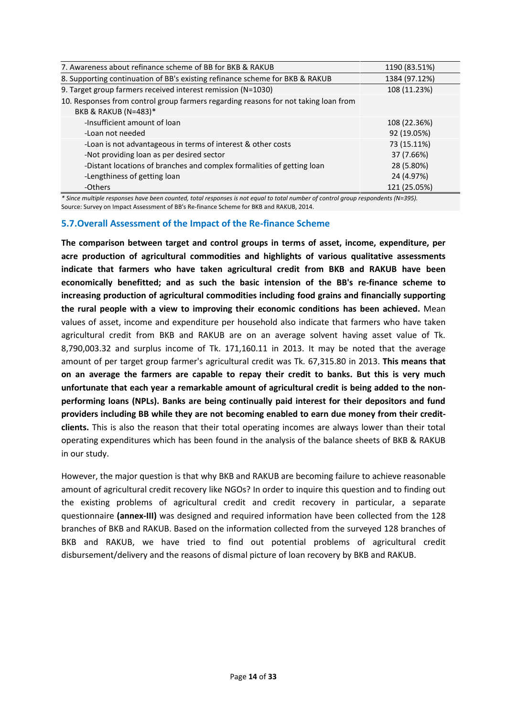| 7. Awareness about refinance scheme of BB for BKB & RAKUB                                                                      | 1190 (83.51%) |
|--------------------------------------------------------------------------------------------------------------------------------|---------------|
| 8. Supporting continuation of BB's existing refinance scheme for BKB & RAKUB                                                   | 1384 (97.12%) |
| 9. Target group farmers received interest remission (N=1030)                                                                   | 108 (11.23%)  |
| 10. Responses from control group farmers regarding reasons for not taking loan from                                            |               |
| BKB & RAKUB (N=483)*                                                                                                           |               |
| -Insufficient amount of loan                                                                                                   | 108 (22.36%)  |
| -Loan not needed                                                                                                               | 92 (19.05%)   |
| -Loan is not advantageous in terms of interest & other costs                                                                   | 73 (15.11%)   |
| -Not providing loan as per desired sector                                                                                      | 37 (7.66%)    |
| -Distant locations of branches and complex formalities of getting loan                                                         | 28 (5.80%)    |
| -Lengthiness of getting loan                                                                                                   | 24 (4.97%)    |
| -Others                                                                                                                        | 121 (25.05%)  |
| * Cinco multiple recononce have been counted total recononce is not caughte total number of control aroun reconondents (N-205) |               |

*\* Since multiple responses have been counted, total responses is not equal to total number of control group respondents (N=395).* Source: Survey on Impact Assessment of BB's Re-finance Scheme for BKB and RAKUB, 2014.

## **5.7.Overall Assessment of the Impact of the Re-finance Scheme**

**The comparison between target and control groups in terms of asset, income, expenditure, per acre production of agricultural commodities and highlights of various qualitative assessments indicate that farmers who have taken agricultural credit from BKB and RAKUB have been economically benefitted; and as such the basic intension of the BB's re-finance scheme to increasing production of agricultural commodities including food grains and financially supporting the rural people with a view to improving their economic conditions has been achieved.** Mean values of asset, income and expenditure per household also indicate that farmers who have taken agricultural credit from BKB and RAKUB are on an average solvent having asset value of Tk. 8,790,003.32 and surplus income of Tk. 171,160.11 in 2013. It may be noted that the average amount of per target group farmer's agricultural credit was Tk. 67,315.80 in 2013. **This means that on an average the farmers are capable to repay their credit to banks. But this is very much unfortunate that each year a remarkable amount of agricultural credit is being added to the non performing loans (NPLs). Banks are being continually paid interest for their depositors and fund providers including BB while they are not becoming enabled to earn due money from their credit clients.** This is also the reason that their total operating incomes are always lower than their total operating expenditures which has been found in the analysis of the balance sheets of BKB & RAKUB in our study.

However, the major question is that why BKB and RAKUB are becoming failure to achieve reasonable amount of agricultural credit recovery like NGOs? In order to inquire this question and to finding out the existing problems of agricultural credit and credit recovery in particular, a separate questionnaire **(annex-III)** was designed and required information have been collected from the 128 branches of BKB and RAKUB. Based on the information collected from the surveyed 128 branches of BKB and RAKUB, we have tried to find out potential problems of agricultural credit disbursement/delivery and the reasons of dismal picture of loan recovery by BKB and RAKUB.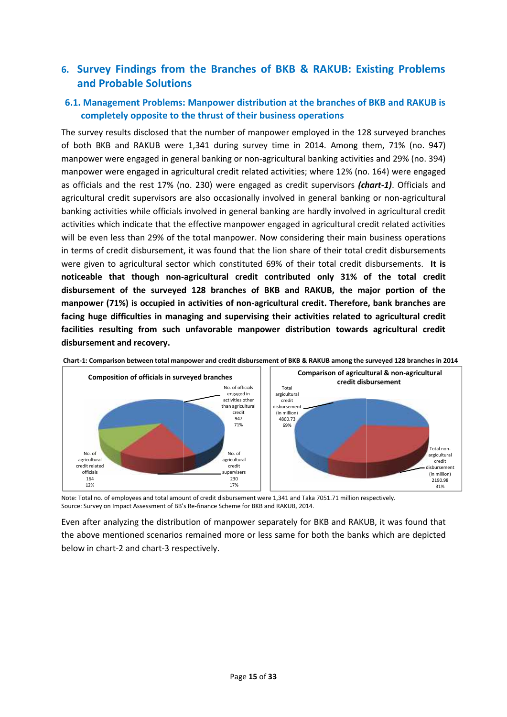# **6. Survey Findings from the Branches of BKB & RAKUB: Existing Problems and Probable Solutions and Probable Solutions Solutions**

## **6.1. Management Problems: Manpower distribution at the branches of BKB and RAKUB is completely opposite to the thrust of their business operations**

The survey results disclosed that the number of manpower employed in the 128 surveyed branches of both BKB and RAKUB were 1,341 during survey time in 2014. Among them, 71% (no. 947) manpower were engaged in general banking or non-agricultural banking activities and 29% (no. 394) manpower were engaged in agricultural credit related activities; where 12% (no. 164) were engaged as officials and the rest 17% (no. 230) were engaged as credit supervisors *(chart-1)*. Officials and agricultural credit supervisors are also occasionally involved in general banking or non-agricultural as officials and the rest 17% (no. 230) were engaged as credit supervisors *(chart-1)*. Officials and<br>agricultural credit supervisors are also occasionally involved in general banking or non-agricultural<br>banking activities activities which indicate that the effective manpower engaged in agricultural credit related activities will be even less than 29% of the total manpower. Now considering their main business operations in terms of credit disbursement, it was found that the lion share of their total credit disbursements were given to agricultural sector which constituted 69% of their total credit disbursements. **It is noticeable that though non-agricultural credit contributed only 31% of the total credit disbursement of the surveyed 128 branches of BKB and RAKUB, the major portion of the manpower (71%) is occupied in activities of non-agricultural credit. Therefore, bank branches are facing huge difficulties in managing and supervising their activities related to agricultural credit** facilities resulting from such unfavorable manpower distribution towards agricultural credit<br>disbursement and recovery. **disbursement and recovery.** ey results disclosed that the number of manpower employed in the 128 surveyed branches<br>BKB and RAKUB were 1,341 during survey time in 2014. Among them, 71% (no. 947)<br>er were engaged in general banking or non-agricultural b activities which indicate that the effective manpower engaged in agricultural credit related activities<br>will be even less than 29% of the total manpower. Now considering their main business operations<br>in terms of credit di





Note: Total no. of employees and total amount of credit disbursement were 1,341 and Taka 7051.71 million respectively. Note: Total no. of employees and total amount of credit disbursement were 1,341 and Taka 705<br>Source: Survey on Impact Assessment of BB's Re-finance Scheme for BKB and RAKUB, 2014.

Even after analyzing the distribution of manpower separately for BKB and RAKUB, it was found that the above mentioned scenarios remained more or less same for both the banks which are depicted below in chart-2 and chart-3 respectively.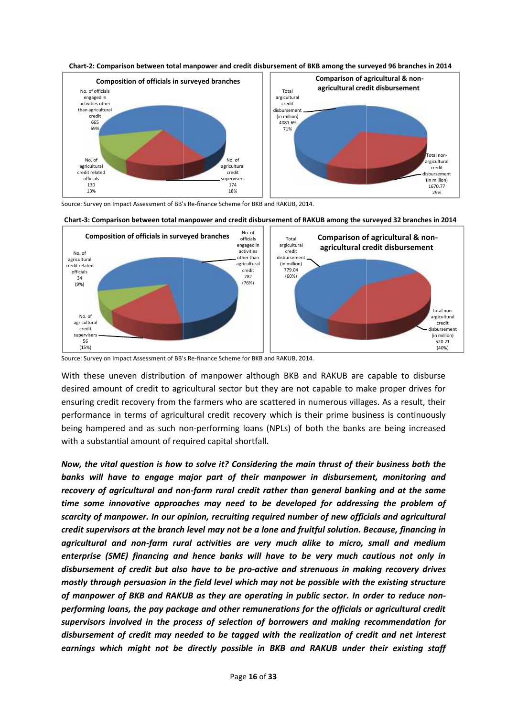



Source: Survey on Impact Assessment of BB's Re-finance Scheme for BKB and RAKUB, 2014. of



Source: Survey on Impact Assessment of BB's Re-finance Scheme for BKB and RAKUB, 2014.

With these uneven distribution of manpower although BKB and RAKUB are capable to disburse With these uneven distribution of manpower although BKB and RAKUB are capable to disburse<br>desired amount of credit to agricultural sector but they are not capable to make proper drives for ensuring credit recovery from the farmers who are scattered in numerous villages. As a result, their performance in terms of agricultural credit recovery which is their prime business is continuously being hampered and as such non-performing loans (NPLs) of both the banks are being increased with a substantial amount of required capital shortfall. ring credit recovery from the farmers who are scattered in numerous villages. As a result, their<br>ormance in terms of agricultural credit recovery which is their prime business is continuously<br>is hampered and as such non-pe

*Now, the vital question is how to solve it? Considering the main thrust of their business both the banks will have to engage major part of their manpower in disbursement, monitoring and recovery of agricultural and non-farm rural credit rather than general banking and at the same time some innovative approaches may need to be developed for addressing the problem of scarcity of manpower. In our opinion, recruiting required number of new officials and agricultural credit supervisors at the branch level may not be a lone and fruitful solution. Because, financing in agricultural and non-farm rural activities are very much alike to micro, small and medium notbe fruitfulinmedium enterprise (SME) financing and hence banks will have to be very much cautious not only in disbursement of credit but also have to be pro-active and strenuous in making recovery drives will to much credit mostly through persuasion in the field level which may not be possible with the existing structure of manpower of BKB and RAKUB as they are operating in public sector. In order to reduce non- in which be structureBKB and to performing loans, the pay package and other remunerations for the officials or agricultural credit supervisors involved in the process of selection of borrowers and making recommendation for* performing loans, the pay package and other remunerations for the officials or agricultural credit<br>supervisors involved in the process of selection of borrowers and making recommendation for<br>disbursement of credit may need *earnings which might not be directly possible in BKB and RAKUB under their existing staff the vital question is how to solve it? Considering the main thrust of their business both the*<br>will have to engage major part of their manpower in disbursement, monitoring and<br>ery of agricultural and non-farm rural credit and sessions of a state is a matrix of the interest supervisers of a state of a state of a state of a state of a state of a state of a state of a state of a state of a state of a state of a state of a state of a state of a **Example 18 and for an argicultural credit disbursement of RAKUB are capted 32 branches in 2014<br>
The formation of method in the stress of any other argicultural credit disbursement of RAKUB are capable stars in 2014<br>
The m**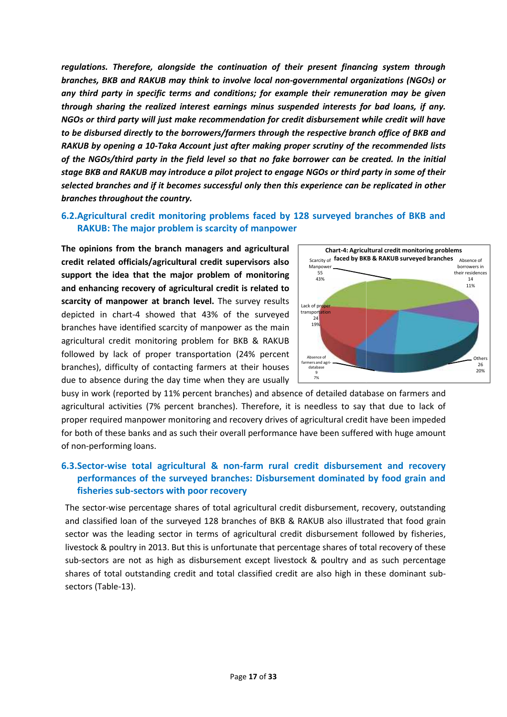*regulations. Therefore, alongside the continuation of their present financing system through branches, BKB and RAKUB may think to involve local non-governmental organizations (NGOs) or any third party in specific terms and conditions; for example their remuneration may be given through sharing the realized interest earnings minus suspended interests for bad loans, if any. NGOs or third party will just make recommendation for credit disbursement while credit will have to be disbursed directly to the borrowers/farmers through the respective branch office of BKB and RAKUB by opening a 10-Taka Account just after making proper scrutiny of the recommended lists of the NGOs/third party in the field level so that no fake borrower can be created. In the initial stage BKB and RAKUB may introduce a pilot project to engage NGOs or third party in some of their selected branches and if it becomes successful only then this experience can be replicated in other branches throughout the country.* regulations. Therefore, alongside the continuation of their present financing system through<br>branches, BKB and RAKUB may think to involve local non-governmental organizations (NGOs) or<br>any third party in specific terms and *by opening a 10-Taka Account just after making proper scrutiny of the recommended lists<br>NGOs/third party in the field level so that no fake borrower can be created. In the initial<br>KB and RAKUB may introduce a pilot projec* 

## **6.2.Agricultural credit monitoring problems faced by 128 surveyed branches of BKB and monitoring branches RAKUB: The major problem is scarcity of manpower**

**The opinions from the branch managers and agricultural credit related officials/agricultural credit supervisors also support the idea that the major problem of monitoring and enhancing recovery of agricultural credit is related to scarcity of manpower at branch level.** The survey results depicted in chart-4 showed that 43% of the surveyed branches have identified scarcity of manpower as the main agricultural credit monitoring problem for BKB & RAKUB followed by lack of proper transportation (24% percent branches), difficulty of contacting farmers at their houses branches), difficulty of contacting farmers at their houses  $\overline{\sigma}$ **branch level.** The survey results<br>
depicted in chart-4 showed that 43% of the surveyed<br>
branches have identified scarcity of manpower as the main<br>
agricultural credit monitoring problem for BKB & RAKUB<br>
followed by lack o



busy in work (reported by 11% percent branches) and absence of detailed database on farmers and agricultural activities (7% percent branches). Therefore, it is needless to say that due to lack of proper required manpower monitoring and recovery drives of agricultural credit have been impeded for both of these banks and as such their overall performance have been suffered with huge amount of non-performing loans.

#### **6.3.Sector-wise total agricultural & non-farm rural credit disbursement and recovery recoveryperformances of the surveyed branches: Disbursement dominated by food grain and fisheries sub-sectors with poor recovery 6.3.Sector-wise total agricultural & non-farm rural credit disbursement and recovery performances of the surveyed branches: Disbursement dominated by food grain and fisheries sub-sectors with poor recovery**

The sector-wise percentage shares of total agricultural credit disbursement, recovery, outstanding and classified loan of the surveyed 128 branches of BKB & RAKUB also illustrated that food grain sector was the leading sector in terms of agricultural credit disbursement followed by fisheries, livestock & poultry in 2013. But this is unfortunate that percentage shares of total recovery of these sub-sectors are not as high as disbursement except livestock & poultry and as such percentage shares of total outstanding credit and total classified credit are also high in these dominant sub sectors (Table-13).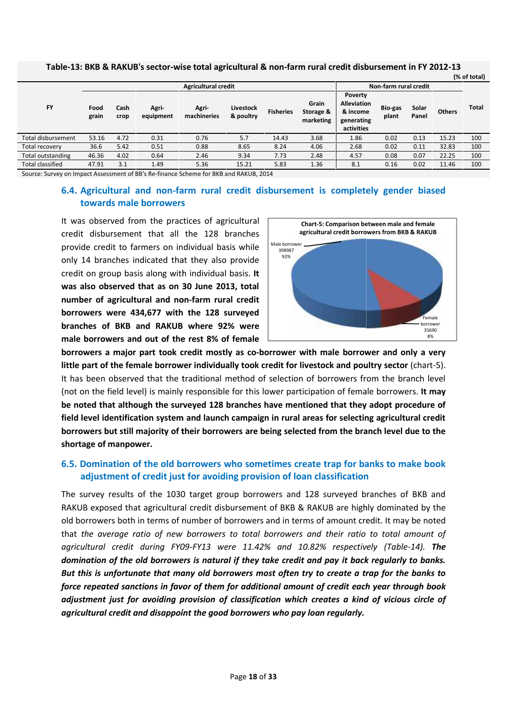|                         |               |              |                    | <b>Agricultural credit</b> | Non-farm rural credit  |                  |                                 |                                                                       |                  |                |               |              |
|-------------------------|---------------|--------------|--------------------|----------------------------|------------------------|------------------|---------------------------------|-----------------------------------------------------------------------|------------------|----------------|---------------|--------------|
| <b>FY</b>               | Food<br>grain | Cash<br>crop | Agri-<br>equipment | Agri-<br>machineries       | Livestock<br>& poultry | <b>Fisheries</b> | Grain<br>Storage &<br>marketing | Poverty<br><b>Alleviation</b><br>& income<br>generating<br>activities | Bio-gas<br>plant | Solar<br>Panel | <b>Others</b> | <b>Total</b> |
| Total disbursement      | 53.16         | 4.72         | 0.31               | 0.76                       | 5.7                    | 14.43            | 3.68                            | 1.86                                                                  | 0.02             | 0.13           | 15.23         | 100          |
| Total recovery          | 36.6          | 5.42         | 0.51               | 0.88                       | 8.65                   | 8.24             | 4.06                            | 2.68                                                                  | 0.02             | 0.11           | 32.83         | 100          |
| Total outstanding       | 46.36         | 4.02         | 0.64               | 2.46                       | 9.34                   | 7.73             | 2.48                            | 4.57                                                                  | 0.08             | 0.07           | 22.25         | 100          |
| <b>Total classified</b> | 47.91         | 3.1          | 1.49               | 5.36                       | 15.21                  | 5.83             | 1.36                            | 8.1                                                                   | 0.16             | 0.02           | 11.46         | 100          |

### **Table-13: BKB & RAKUB's sector-wise total agricultural & non-farm rural credit disbursement in FY 2012-13**

## **6.4. Agricultural and non-farm rural credit disbursement is completely gender biased non-farm borrowers towards male borrowers**

It was observed from the practices of agricultural It was observed from the practices of agricultural<br>credit disbursement that all the 128 branches provide credit to farmers on individual basis while only 14 branches indicated that they also provide provide credit to farmers on individual basis while also provide also provide also provide also provide also provide also provide also provide also provide also provide also provide also provide also proup basis along with **was also observed that as on 30 June 2013, total** number of agricultural and non-farm rural credit | **borrowers were 434,677 with the 128 surveyed branches of BKB and RAKUB where 92% were male borrowers and out of the rest 8% of female RAKUB's sector-wis**<br> **Cash**<br> **Cash**<br> **RAKUB's sector-wis**<br> **Cash**<br> **RAKUB**<br> **RAKUB**<br> **RAKUD**<br>
<u>RAKUD</u><br>
<u>RAKUD</u><br>
<u>RAKUD</u><br> **RAKUD**<br> **RAKUD**<br> **RAKUD**<br> **RAKUD**<br> **RAKUD**<br> **RAKUD**<br> **RAKUD**<br> **RAKUD**<br> **RAKUD**<br> **RAKUD**<br> **RAKUD**<br>



**borrowers a major part took credit mostly as co-borrower with male borrower and only a very little part of the female borrower individually took credit for livestock and poultry sector** (chart-5). It has been observed that the traditional method of selection of borrowers from the branch level (not on the field level) is mainly responsible for this lower participation of female borrowers. **It may be noted that although the surveyed 128 branches have mentioned that they adopt procedure of field level identification system and launch campaign in rural areas for selecting agricultural credit borrowers but still majority of their borrowers are being selected from the branch level due to the shortage of manpower. and RAKUB where 92% were**<br> **and major part took credit mostly as co-borrower with male borrower and only a very<br>
and major part took credit mostly as co-borrower with male borrower and only a very<br>
of the female borrower** 

## **6.5. Domination of the old borrowers who sometimes create trap for banks to make book the who adjustment of credit just for avoiding provision of loan classification adjustment of credit**

The survey results of the 1030 target group borrowers and 128 surveyed branches of BKB and RAKUB exposed that agricultural credit disbursement of BKB & RAKUB are highly dominated by the old borrowers both in terms of number of borrowers and in terms of amount credit. It may be noted that *the average ratio of new borrowers to total borrowers and their ratio to total amount of* that *ratio borrowers theirtotal amount during 10.82% (Table-14).agricultural credit during FY09-FY13 were 11.42% and 10.82% respectively (Table-14). The* domination of the old borrowers is natural if they take credit and pay it back regularly to banks.<br>But this is unfortunate that many old borrowers most often try to create a trap for the banks to *But this is unfortunate that many old borrowers most often try to create a trap for the banks to force repeated sanctions in favor of them for additional amount of credit each year through book adjustment just for avoiding provision of classification which creates a kind of vicious circle of agricultural credit and disappoint the good borrowers who pay loan regularly.* target group borrowers and 128 surveyed branches of BKB and<br>credit disbursement of BKB & RAKUB are highly dominated by the<br>imber of borrowers and in terms of amount credit. It may be noted **Example 12 of the first dependent control of the credit and the female borrower and out of the rest 8% of female borrower with male borrower and only a very wers and out of the rest alt mostly as co-borrower with male b**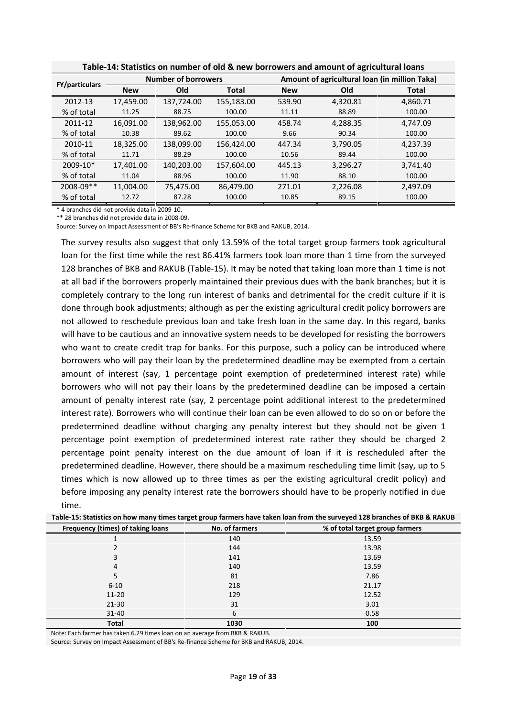| <b>FY/particulars</b> |            | <b>Number of borrowers</b> |              |            | Amount of agricultural loan (in million Taka) |              |  |  |  |
|-----------------------|------------|----------------------------|--------------|------------|-----------------------------------------------|--------------|--|--|--|
|                       | <b>New</b> | Old                        | <b>Total</b> | <b>New</b> | Old                                           | <b>Total</b> |  |  |  |
| 2012-13               | 17,459.00  | 137,724.00                 | 155,183.00   | 539.90     | 4,320.81                                      | 4,860.71     |  |  |  |
| % of total            | 11.25      | 88.75                      | 100.00       | 11.11      | 88.89                                         | 100.00       |  |  |  |
| 2011-12               | 16,091.00  | 138,962.00                 | 155,053.00   | 458.74     | 4,288.35                                      | 4,747.09     |  |  |  |
| % of total            | 10.38      | 89.62                      | 100.00       | 9.66       | 90.34                                         | 100.00       |  |  |  |
| 2010-11               | 18,325.00  | 138,099.00                 | 156,424.00   | 447.34     | 3,790.05                                      | 4,237.39     |  |  |  |
| % of total            | 11.71      | 88.29                      | 100.00       | 10.56      | 89.44                                         | 100.00       |  |  |  |
| 2009-10*              | 17.401.00  | 140,203.00                 | 157,604.00   | 445.13     | 3,296.27                                      | 3,741.40     |  |  |  |
| % of total            | 11.04      | 88.96                      | 100.00       | 11.90      | 88.10                                         | 100.00       |  |  |  |
| 2008-09**             | 11.004.00  | 75,475.00                  | 86,479.00    | 271.01     | 2,226.08                                      | 2,497.09     |  |  |  |
| % of total            | 12.72      | 87.28                      | 100.00       | 10.85      | 89.15                                         | 100.00       |  |  |  |

**Table-14: Statistics on number of old & new borrowers and amount of agricultural loans**

\* 4 branches did not provide data in 2009-10.

\*\* 28 branches did not provide data in 2008-09.

Source: Survey on Impact Assessment of BB's Re-finance Scheme for BKB and RAKUB, 2014.

The survey results also suggest that only 13.59% of the total target group farmers took agricultural loan for the first time while the rest 86.41% farmers took loan more than 1 time from the surveyed 128 branches of BKB and RAKUB (Table-15). It may be noted that taking loan more than 1 time is not at all bad if the borrowers properly maintained their previous dues with the bank branches; but it is completely contrary to the long run interest of banks and detrimental for the credit culture if it is done through book adjustments; although as per the existing agricultural credit policy borrowers are not allowed to reschedule previous loan and take fresh loan in the same day. In this regard, banks will have to be cautious and an innovative system needs to be developed for resisting the borrowers who want to create credit trap for banks. For this purpose, such a policy can be introduced where borrowers who will pay their loan by the predetermined deadline may be exempted from a certain amount of interest (say, 1 percentage point exemption of predetermined interest rate) while borrowers who will not pay their loans by the predetermined deadline can be imposed a certain amount of penalty interest rate (say, 2 percentage point additional interest to the predetermined interest rate). Borrowers who will continue their loan can be even allowed to do so on or before the predetermined deadline without charging any penalty interest but they should not be given 1 percentage point exemption of predetermined interest rate rather they should be charged 2 percentage point penalty interest on the due amount of loan if it is rescheduled after the predetermined deadline. However, there should be a maximum rescheduling time limit (say, up to 5 times which is now allowed up to three times as per the existing agricultural credit policy) and before imposing any penalty interest rate the borrowers should have to be properly notified in due time.

|                                   |                | Table-15: Statistics on now many times target group farmers have taken loan from the surveyed 128 branches of BNB & KANOB |
|-----------------------------------|----------------|---------------------------------------------------------------------------------------------------------------------------|
| Frequency (times) of taking loans | No. of farmers | % of total target group farmers                                                                                           |
|                                   | 140            | 13.59                                                                                                                     |
|                                   | 144            | 13.98                                                                                                                     |
|                                   | 141            | 13.69                                                                                                                     |
| 4                                 | 140            | 13.59                                                                                                                     |
| 5.                                | 81             | 7.86                                                                                                                      |
| $6 - 10$                          | 218            | 21.17                                                                                                                     |
| $11 - 20$                         | 129            | 12.52                                                                                                                     |
| $21-30$                           | 31             | 3.01                                                                                                                      |
| $31 - 40$                         | 6              | 0.58                                                                                                                      |
| <b>Total</b>                      | 1030           | 100                                                                                                                       |

**Table-15: Statistics on how many times target group farmers have taken loan from the surveyed 128 branches of BKB & RAKUB**

Note: Each farmer has taken 6.29 times loan on an average from BKB & RAKUB.

Source: Survey on Impact Assessment of BB's Re-finance Scheme for BKB and RAKUB, 2014.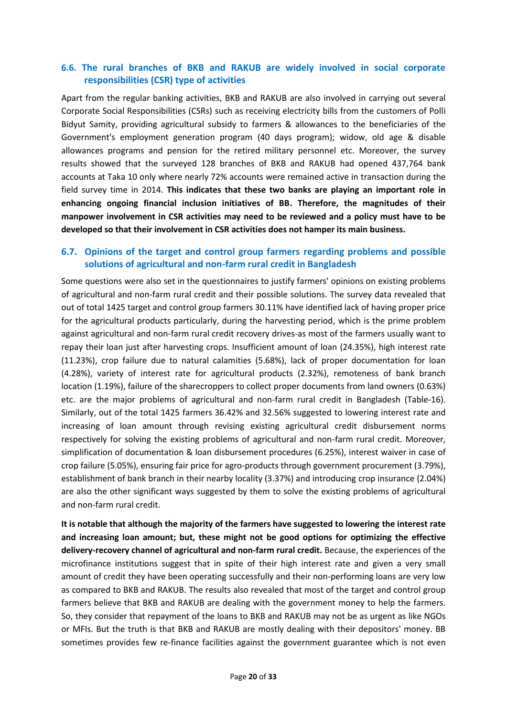## **6.6. The rural branches of BKB and RAKUB are widely involved in social corporate responsibilities (CSR) type of activities**

Apart from the regular banking activities, BKB and RAKUB are also involved in carrying out several Corporate Social Responsibilities (CSRs) such as receiving electricity bills from the customers of Polli Bidyut Samity, providing agricultural subsidy to farmers & allowances to the beneficiaries of the Government's employment generation program (40 days program); widow, old age & disable allowances programs and pension for the retired military personnel etc. Moreover, the survey results showed that the surveyed 128 branches of BKB and RAKUB had opened 437,764 bank accounts at Taka 10 only where nearly 72% accounts were remained active in transaction during the field survey time in 2014. **This indicates that these two banks are playing an important role in enhancing ongoing financial inclusion initiatives of BB. Therefore, the magnitudes of their manpower involvement in CSR activities may need to be reviewed and a policy must have to be developed so that their involvement in CSR activities does not hamper its main business.**

## **6.7. Opinions of the target and control group farmers regarding problems and possible solutions of agricultural and non-farm rural credit in Bangladesh**

Some questions were also set in the questionnaires to justify farmers' opinions on existing problems of agricultural and non-farm rural credit and their possible solutions. The survey data revealed that out of total 1425 target and control group farmers 30.11% have identified lack of having proper price for the agricultural products particularly, during the harvesting period, which is the prime problem against agricultural and non-farm rural credit recovery drives-as most of the farmers usually want to repay their loan just after harvesting crops. Insufficient amount of loan (24.35%), high interest rate (11.23%), crop failure due to natural calamities (5.68%), lack of proper documentation for loan (4.28%), variety of interest rate for agricultural products (2.32%), remoteness of bank branch location (1.19%), failure of the sharecroppers to collect proper documents from land owners (0.63%) etc. are the major problems of agricultural and non-farm rural credit in Bangladesh (Table-16). Similarly, out of the total 1425 farmers 36.42% and 32.56% suggested to lowering interest rate and increasing of loan amount through revising existing agricultural credit disbursement norms respectively for solving the existing problems of agricultural and non-farm rural credit. Moreover, simplification of documentation & loan disbursement procedures (6.25%), interest waiver in case of crop failure (5.05%), ensuring fair price for agro-products through government procurement (3.79%), establishment of bank branch in their nearby locality (3.37%) and introducing crop insurance (2.04%) are also the other significant ways suggested by them to solve the existing problems of agricultural and non-farm rural credit.

**It is notable that although the majority of the farmers have suggested to lowering the interest rate and increasing loan amount; but, these might not be good options for optimizing the effective delivery-recovery channel of agricultural and non-farm rural credit.** Because, the experiences of the microfinance institutions suggest that in spite of their high interest rate and given a very small amount of credit they have been operating successfully and their non-performing loans are very low as compared to BKB and RAKUB. The results also revealed that most of the target and control group farmers believe that BKB and RAKUB are dealing with the government money to help the farmers. So, they consider that repayment of the loans to BKB and RAKUB may not be as urgent as like NGOs or MFIs. But the truth is that BKB and RAKUB are mostly dealing with their depositors' money. BB sometimes provides few re-finance facilities against the government guarantee which is not even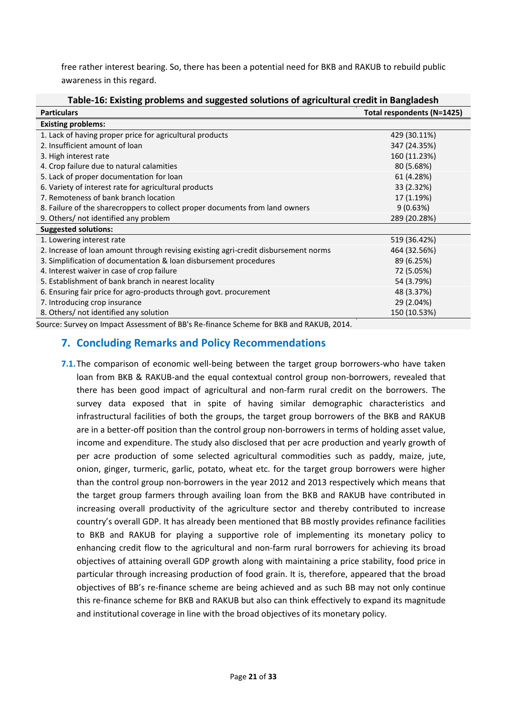free rather interest bearing. So, there has been a potential need for BKB and RAKUB to rebuild public awareness in this regard.

| <b>Particulars</b>                                                                     | Total respondents (N=1425) |
|----------------------------------------------------------------------------------------|----------------------------|
| <b>Existing problems:</b>                                                              |                            |
| 1. Lack of having proper price for agricultural products                               | 429 (30.11%)               |
| 2. Insufficient amount of loan                                                         | 347 (24.35%)               |
| 3. High interest rate                                                                  | 160 (11.23%)               |
| 4. Crop failure due to natural calamities                                              | 80 (5.68%)                 |
| 5. Lack of proper documentation for loan                                               | 61 (4.28%)                 |
| 6. Variety of interest rate for agricultural products                                  | 33 (2.32%)                 |
| 7. Remoteness of bank branch location                                                  | 17 (1.19%)                 |
| 8. Failure of the sharecroppers to collect proper documents from land owners           | 9(0.63%)                   |
| 9. Others/ not identified any problem                                                  | 289 (20.28%)               |
| <b>Suggested solutions:</b>                                                            |                            |
| 1. Lowering interest rate                                                              | 519 (36.42%)               |
| 2. Increase of loan amount through revising existing agri-credit disbursement norms    | 464 (32.56%)               |
| 3. Simplification of documentation & loan disbursement procedures                      | 89 (6.25%)                 |
| 4. Interest waiver in case of crop failure                                             | 72 (5.05%)                 |
| 5. Establishment of bank branch in nearest locality                                    | 54 (3.79%)                 |
| 6. Ensuring fair price for agro-products through govt. procurement                     | 48 (3.37%)                 |
| 7. Introducing crop insurance                                                          | 29 (2.04%)                 |
| 8. Others/ not identified any solution                                                 | 150 (10.53%)               |
| Source: Survey on Impact Assessment of BB's Re-finance Scheme for BKB and RAKUB, 2014. |                            |

### **Table-16: Existing problems and suggested solutions of agricultural credit in Bangladesh**

## **7. Concluding Remarks and Policy Recommendations**

**7.1.**The comparison of economic well-being between the target group borrowers-who have taken loan from BKB & RAKUB-and the equal contextual control group non-borrowers, revealed that there has been good impact of agricultural and non-farm rural credit on the borrowers. The survey data exposed that in spite of having similar demographic characteristics and infrastructural facilities of both the groups, the target group borrowers of the BKB and RAKUB are in a better-off position than the control group non-borrowers in terms of holding asset value, income and expenditure. The study also disclosed that per acre production and yearly growth of per acre production of some selected agricultural commodities such as paddy, maize, jute, onion, ginger, turmeric, garlic, potato, wheat etc. for the target group borrowers were higher than the control group non-borrowers in the year 2012 and 2013 respectively which means that the target group farmers through availing loan from the BKB and RAKUB have contributed in increasing overall productivity of the agriculture sector and thereby contributed to increase country's overall GDP. It has already been mentioned that BB mostly provides refinance facilities to BKB and RAKUB for playing a supportive role of implementing its monetary policy to enhancing credit flow to the agricultural and non-farm rural borrowers for achieving its broad objectives of attaining overall GDP growth along with maintaining a price stability, food price in particular through increasing production of food grain. It is, therefore, appeared that the broad objectives of BB's re-finance scheme are being achieved and as such BB may not only continue this re-finance scheme for BKB and RAKUB but also can think effectively to expand its magnitude and institutional coverage in line with the broad objectives of its monetary policy.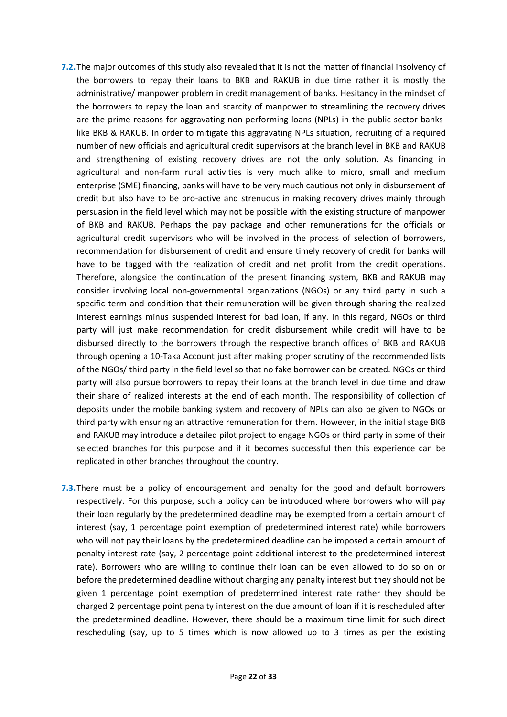- **7.2.**The major outcomes of this study also revealed that it is not the matter of financial insolvency of the borrowers to repay their loans to BKB and RAKUB in due time rather it is mostly the administrative/ manpower problem in credit management of banks. Hesitancy in the mindset of the borrowers to repay the loan and scarcity of manpower to streamlining the recovery drives are the prime reasons for aggravating non-performing loans (NPLs) in the public sector bankslike BKB & RAKUB. In order to mitigate this aggravating NPLs situation, recruiting of a required number of new officials and agricultural credit supervisors at the branch level in BKB and RAKUB and strengthening of existing recovery drives are not the only solution. As financing in agricultural and non-farm rural activities is very much alike to micro, small and medium enterprise (SME) financing, banks will have to be very much cautious not only in disbursement of credit but also have to be pro-active and strenuous in making recovery drives mainly through persuasion in the field level which may not be possible with the existing structure of manpower of BKB and RAKUB. Perhaps the pay package and other remunerations for the officials or agricultural credit supervisors who will be involved in the process of selection of borrowers, recommendation for disbursement of credit and ensure timely recovery of credit for banks will have to be tagged with the realization of credit and net profit from the credit operations. Therefore, alongside the continuation of the present financing system, BKB and RAKUB may consider involving local non-governmental organizations (NGOs) or any third party in such a specific term and condition that their remuneration will be given through sharing the realized interest earnings minus suspended interest for bad loan, if any. In this regard, NGOs or third party will just make recommendation for credit disbursement while credit will have to be disbursed directly to the borrowers through the respective branch offices of BKB and RAKUB through opening a 10-Taka Account just after making proper scrutiny of the recommended lists of the NGOs/ third party in the field level so that no fake borrower can be created. NGOs or third party will also pursue borrowers to repay their loans at the branch level in due time and draw their share of realized interests at the end of each month. The responsibility of collection of deposits under the mobile banking system and recovery of NPLs can also be given to NGOs or third party with ensuring an attractive remuneration for them. However, in the initial stage BKB and RAKUB may introduce a detailed pilot project to engage NGOs or third party in some of their selected branches for this purpose and if it becomes successful then this experience can be replicated in other branches throughout the country.
- **7.3.**There must be a policy of encouragement and penalty for the good and default borrowers respectively. For this purpose, such a policy can be introduced where borrowers who will pay their loan regularly by the predetermined deadline may be exempted from a certain amount of interest (say, 1 percentage point exemption of predetermined interest rate) while borrowers who will not pay their loans by the predetermined deadline can be imposed a certain amount of penalty interest rate (say, 2 percentage point additional interest to the predetermined interest rate). Borrowers who are willing to continue their loan can be even allowed to do so on or before the predetermined deadline without charging any penalty interest but they should not be given 1 percentage point exemption of predetermined interest rate rather they should be charged 2 percentage point penalty interest on the due amount of loan if it is rescheduled after the predetermined deadline. However, there should be a maximum time limit for such direct rescheduling (say, up to 5 times which is now allowed up to 3 times as per the existing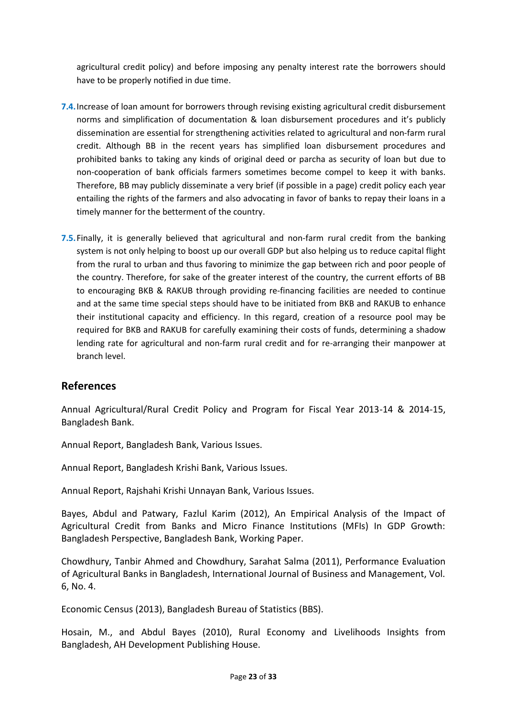agricultural credit policy) and before imposing any penalty interest rate the borrowers should have to be properly notified in due time.

- **7.4.**Increase of loan amount for borrowers through revising existing agricultural credit disbursement norms and simplification of documentation & loan disbursement procedures and it's publicly dissemination are essential for strengthening activities related to agricultural and non-farm rural credit. Although BB in the recent years has simplified loan disbursement procedures and prohibited banks to taking any kinds of original deed or parcha as security of loan but due to non-cooperation of bank officials farmers sometimes become compel to keep it with banks. Therefore, BB may publicly disseminate a very brief (if possible in a page) credit policy each year entailing the rights of the farmers and also advocating in favor of banks to repay their loans in a timely manner for the betterment of the country.
- **7.5.**Finally, it is generally believed that agricultural and non-farm rural credit from the banking system is not only helping to boost up our overall GDP but also helping us to reduce capital flight from the rural to urban and thus favoring to minimize the gap between rich and poor people of the country. Therefore, for sake of the greater interest of the country, the current efforts of BB to encouraging BKB & RAKUB through providing re-financing facilities are needed to continue and at the same time special steps should have to be initiated from BKB and RAKUB to enhance their institutional capacity and efficiency. In this regard, creation of a resource pool may be required for BKB and RAKUB for carefully examining their costs of funds, determining a shadow lending rate for agricultural and non-farm rural credit and for re-arranging their manpower at branch level.

## **References**

Annual Agricultural/Rural Credit Policy and Program for Fiscal Year 2013-14 & 2014-15, Bangladesh Bank.

Annual Report, Bangladesh Bank, Various Issues.

Annual Report, Bangladesh Krishi Bank, Various Issues.

Annual Report, Rajshahi Krishi Unnayan Bank, Various Issues.

Bayes, Abdul and Patwary, Fazlul Karim (2012), An Empirical Analysis of the Impact of Agricultural Credit from Banks and Micro Finance Institutions (MFIs) In GDP Growth: Bangladesh Perspective, Bangladesh Bank, Working Paper.

Chowdhury, Tanbir Ahmed and Chowdhury, Sarahat Salma (2011), Performance Evaluation of Agricultural Banks in Bangladesh, International Journal of Business and Management, Vol. 6, No. 4.

Economic Census (2013), Bangladesh Bureau of Statistics (BBS).

Hosain, M., and Abdul Bayes (2010), Rural Economy and Livelihoods Insights from Bangladesh, AH Development Publishing House.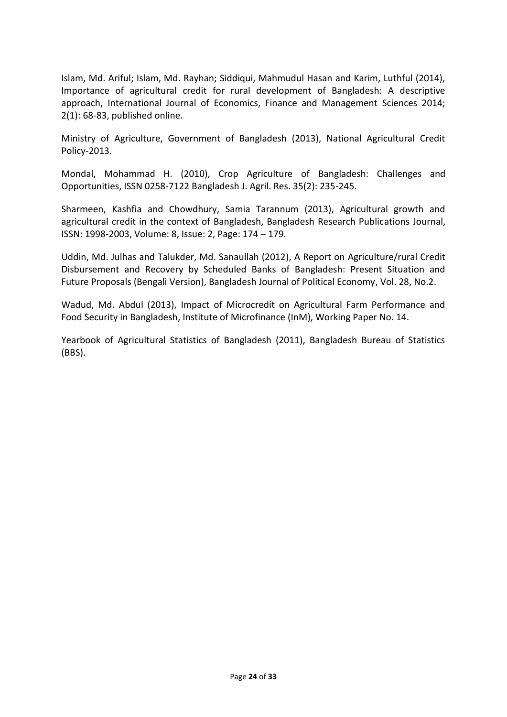Islam, Md. Ariful; Islam, Md. Rayhan; Siddiqui, Mahmudul Hasan and Karim, Luthful (2014), Importance of agricultural credit for rural development of Bangladesh: A descriptive approach, International Journal of Economics, Finance and Management Sciences 2014; 2(1): 68-83, published online.

Ministry of Agriculture, Government of Bangladesh (2013), National Agricultural Credit Policy-2013.

Mondal, Mohammad H. (2010), Crop Agriculture of Bangladesh: Challenges and Opportunities, ISSN 0258-7122 Bangladesh J. Agril. Res. 35(2): 235-245.

Sharmeen, Kashfia and Chowdhury, Samia Tarannum (2013), Agricultural growth and agricultural credit in the context of Bangladesh, Bangladesh Research Publications Journal, ISSN: 1998-2003, Volume: 8, Issue: 2, Page: 174 – 179.

Uddin, Md. Julhas and Talukder, Md. Sanaullah (2012), A Report on Agriculture/rural Credit Disbursement and Recovery by Scheduled Banks of Bangladesh: Present Situation and Future Proposals (Bengali Version), Bangladesh Journal of Political Economy, Vol. 28, No.2.

Wadud, Md. Abdul (2013), Impact of Microcredit on Agricultural Farm Performance and Food Security in Bangladesh, Institute of Microfinance (InM), Working Paper No. 14.

Yearbook of Agricultural Statistics of Bangladesh (2011), Bangladesh Bureau of Statistics (BBS).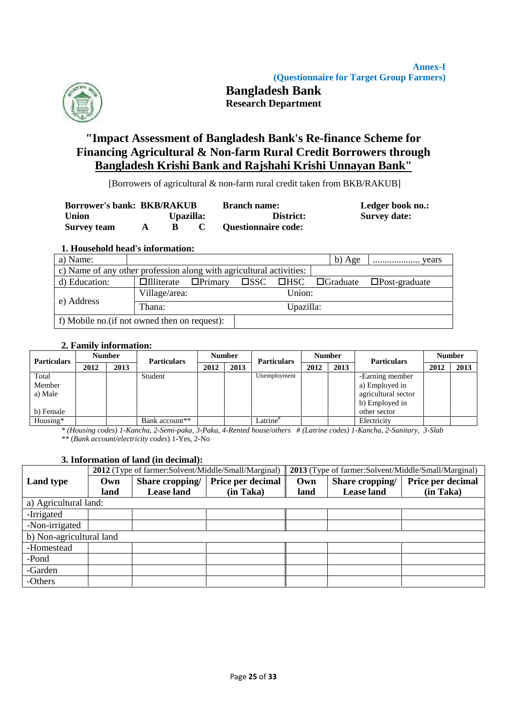

## **Bangladesh Bank Research Department**

# **"Impact Assessment of Bangladesh Bank's Re-finance Scheme for Financing Agricultural & Non-farm Rural Credit Borrowers through Bangladesh Krishi Bank and Rajshahi Krishi Unnayan Bank"**

[Borrowers of agricultural & non-farm rural credit taken from BKB/RAKUB]

| <b>Borrower's bank: BKB/RAKUB</b> |   |           | <b>Branch name:</b>        | Ledger book no.:<br><b>Survey date:</b> |
|-----------------------------------|---|-----------|----------------------------|-----------------------------------------|
| <b>Union</b>                      |   | Upazilla: | District:                  |                                         |
| <b>Survey team</b>                | A |           | <b>Questionnaire code:</b> |                                         |

## **1. Household head's information:**

| a) Name:                                                            |                                  |  |           | b) Age                                         | years                |
|---------------------------------------------------------------------|----------------------------------|--|-----------|------------------------------------------------|----------------------|
| c) Name of any other profession along with agricultural activities: |                                  |  |           |                                                |                      |
| d) Education:                                                       | $\Box$ Illiterate $\Box$ Primary |  |           | $\square$ SSC $\square$ HSC $\square$ Graduate | $\Box$ Post-graduate |
| e) Address                                                          | Village/area:                    |  | Union:    |                                                |                      |
|                                                                     | Thana:                           |  | Upazilla: |                                                |                      |
| f) Mobile no. (if not owned then on request):                       |                                  |  |           |                                                |                      |

## **2. Family information:**

| <b>Particulars</b> | <b>Number</b> |      | <b>Particulars</b> |      | <b>Number</b> | <b>Particulars</b>   | <b>Number</b> |      | <b>Particulars</b>  | <b>Number</b> |      |
|--------------------|---------------|------|--------------------|------|---------------|----------------------|---------------|------|---------------------|---------------|------|
|                    | 2012          | 2013 |                    | 2012 | 2013          |                      | 2012          | 2013 |                     | 2012          | 2013 |
| Total              |               |      | Student            |      |               | Unemployment         |               |      | -Earning member     |               |      |
| Member             |               |      |                    |      |               |                      |               |      | a) Employed in      |               |      |
| a) Male            |               |      |                    |      |               |                      |               |      | agricultural sector |               |      |
|                    |               |      |                    |      |               |                      |               |      | b) Employed in      |               |      |
| b) Female          |               |      |                    |      |               |                      |               |      | other sector        |               |      |
| Housing*           |               |      | Bank account**     |      |               | Latrine <sup>#</sup> |               |      | Electricity         |               |      |

*\* (Housing codes) 1-Kancha, 2-Semi-paka, 3-Paka, 4-Rented house/others # (Latrine codes) 1-Kancha, 2-Sanitary, 3-Slab \*\** (*Bank account/electricity codes*) 1-Yes, 2-No

## **3. Information of land (in decimal):**

|                          |      |                   | 2012 (Type of farmer:Solvent/Middle/Small/Marginal) | 2013 (Type of farmer:Solvent/Middle/Small/Marginal) |                   |                   |  |  |  |
|--------------------------|------|-------------------|-----------------------------------------------------|-----------------------------------------------------|-------------------|-------------------|--|--|--|
| <b>Land type</b>         | Own  | Share cropping/   | Price per decimal                                   | Own                                                 | Share cropping/   | Price per decimal |  |  |  |
|                          | land | <b>Lease land</b> | (in Taka)                                           | land                                                | <b>Lease land</b> | (in Taka)         |  |  |  |
| a) Agricultural land:    |      |                   |                                                     |                                                     |                   |                   |  |  |  |
| -Irrigated               |      |                   |                                                     |                                                     |                   |                   |  |  |  |
| -Non-irrigated           |      |                   |                                                     |                                                     |                   |                   |  |  |  |
| b) Non-agricultural land |      |                   |                                                     |                                                     |                   |                   |  |  |  |
| -Homestead               |      |                   |                                                     |                                                     |                   |                   |  |  |  |
| -Pond                    |      |                   |                                                     |                                                     |                   |                   |  |  |  |
| -Garden                  |      |                   |                                                     |                                                     |                   |                   |  |  |  |
| -Others                  |      |                   |                                                     |                                                     |                   |                   |  |  |  |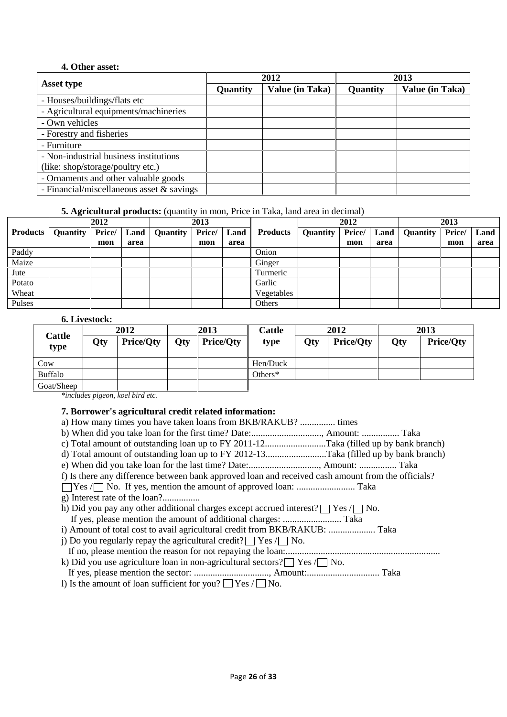## **4. Other asset:**

|                                             |          | 2012                   | 2013            |                 |  |
|---------------------------------------------|----------|------------------------|-----------------|-----------------|--|
| Asset type                                  | Quantity | <b>Value (in Taka)</b> | <b>Quantity</b> | Value (in Taka) |  |
| - Houses/buildings/flats etc                |          |                        |                 |                 |  |
| - Agricultural equipments/machineries       |          |                        |                 |                 |  |
| - Own vehicles                              |          |                        |                 |                 |  |
| - Forestry and fisheries                    |          |                        |                 |                 |  |
| - Furniture                                 |          |                        |                 |                 |  |
| - Non-industrial business institutions      |          |                        |                 |                 |  |
| (like: shop/storage/poultry etc.)           |          |                        |                 |                 |  |
| - Ornaments and other valuable goods        |          |                        |                 |                 |  |
| - Financial/miscellaneous asset $&$ savings |          |                        |                 |                 |  |

## **5. Agricultural products:** (quantity in mon, Price in Taka, land area in decimal)

|                 | 2012     |        | 2013 |          |        |      | 2012            |          |        | 2013 |          |        |      |
|-----------------|----------|--------|------|----------|--------|------|-----------------|----------|--------|------|----------|--------|------|
| <b>Products</b> | Quantity | Price/ | Land | Quantity | Price/ | Land | <b>Products</b> | Quantity | Price/ | Land | Quantity | Price/ | Land |
|                 |          | mon    | area |          | mon    | area |                 |          | mon    | area |          | mon    | area |
| Paddy           |          |        |      |          |        |      | Onion           |          |        |      |          |        |      |
| Maize           |          |        |      |          |        |      | Ginger          |          |        |      |          |        |      |
| Jute            |          |        |      |          |        |      | Turmeric        |          |        |      |          |        |      |
| Potato          |          |        |      |          |        |      | Garlic          |          |        |      |          |        |      |
| Wheat           |          |        |      |          |        |      | Vegetables      |          |        |      |          |        |      |
| Pulses          |          |        |      |          |        |      | Others          |          |        |      |          |        |      |

## **6. Livestock:**

| Cattle         |     | 2012             |     | 2013             | Cattle     | 2012 |                  | 2013 |                  |  |
|----------------|-----|------------------|-----|------------------|------------|------|------------------|------|------------------|--|
| type           | Qty | <b>Price/Qty</b> | Qty | <b>Price/Oty</b> | type       | Qty  | <b>Price/Qty</b> | Qty  | <b>Price/Qty</b> |  |
| Cow            |     |                  |     |                  | Hen/Duck   |      |                  |      |                  |  |
| <b>Buffalo</b> |     |                  |     |                  | Others $*$ |      |                  |      |                  |  |
| Goat/Sheep     |     |                  |     |                  |            |      |                  |      |                  |  |

*\*includes pigeon, koel bird etc.*

## **7. Borrower's agricultural credit related information:**

| a) How many times you have taken loans from BKB/RAKUB?  times                                      |  |
|----------------------------------------------------------------------------------------------------|--|
|                                                                                                    |  |
|                                                                                                    |  |
| d) Total amount of outstanding loan up to FY 2012-13Taka (filled up by bank branch)                |  |
|                                                                                                    |  |
| f) Is there any difference between bank approved loan and received cash amount from the officials? |  |
|                                                                                                    |  |
|                                                                                                    |  |
| h) Did you pay any other additional charges except accrued interest? $\Box$ Yes $\Box$ No.         |  |
|                                                                                                    |  |
|                                                                                                    |  |
| j) Do you regularly repay the agricultural credit? $\Box$ Yes $\Box$ No.                           |  |
|                                                                                                    |  |
| k) Did you use agriculture loan in non-agricultural sectors? $\Box$ Yes $\Box$ No.                 |  |
|                                                                                                    |  |
| 1) Is the amount of loan sufficient for you? $\Box$ Yes / $\Box$ No.                               |  |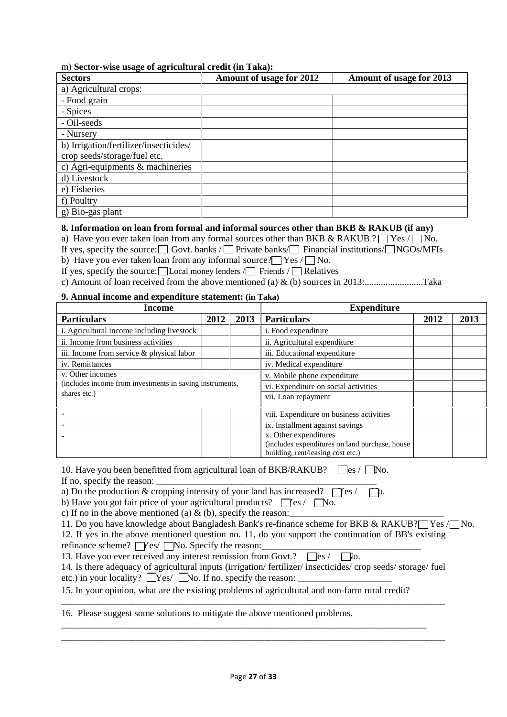#### m) **Sector-wise usage of agricultural credit (in Taka):**

| <b>Sectors</b>                         | Amount of usage for 2012 | Amount of usage for 2013 |
|----------------------------------------|--------------------------|--------------------------|
| a) Agricultural crops:                 |                          |                          |
| - Food grain                           |                          |                          |
| - Spices                               |                          |                          |
| - Oil-seeds                            |                          |                          |
| - Nursery                              |                          |                          |
| b) Irrigation/fertilizer/insecticides/ |                          |                          |
| crop seeds/storage/fuel etc.           |                          |                          |
| c) Agri-equipments & machineries       |                          |                          |
| d) Livestock                           |                          |                          |
| e) Fisheries                           |                          |                          |
| f) Poultry                             |                          |                          |
| g) Bio-gas plant                       |                          |                          |

### **8. Information on loan from formal and informal sources other than BKB & RAKUB (if any)**

a) Have you ever taken loan from any formal sources other than BKB & RAKUB ?  $\Box$  Yes  $\Box$  No.

If yes, specify the source:  $\Box$  Govt. banks /  $\Box$  Private banks/  $\Box$  Financial institutions/  $\Box$  NGOs/MFIs

b) Have you ever taken loan from any informal source?  $\Box$  Yes  $/ \Box$  No.

If yes, specify the source: Local money lenders  $\Box$  Friends  $\Box$  Relatives

c) Amount of loan received from the above mentioned (a) & (b) sources in 2013:.........................Taka

## **9. Annual income and expenditure statement: (in Taka)**

| Income                                                   |      |      | <b>Expenditure</b>                             |      |      |  |  |
|----------------------------------------------------------|------|------|------------------------------------------------|------|------|--|--|
| <b>Particulars</b>                                       | 2012 | 2013 | <b>Particulars</b>                             | 2012 | 2013 |  |  |
| i. Agricultural income including livestock               |      |      | <i>i</i> . Food expenditure                    |      |      |  |  |
| ii. Income from business activities                      |      |      | ii. Agricultural expenditure                   |      |      |  |  |
| iii. Income from service & physical labor                |      |      | iii. Educational expenditure                   |      |      |  |  |
| iv. Remittances                                          |      |      | iv. Medical expenditure                        |      |      |  |  |
| v. Other incomes                                         |      |      | v. Mobile phone expenditure                    |      |      |  |  |
| (includes income from investments in saving instruments, |      |      | vi. Expenditure on social activities           |      |      |  |  |
| shares etc.)                                             |      |      | vii. Loan repayment                            |      |      |  |  |
|                                                          |      |      | viii. Expenditure on business activities       |      |      |  |  |
|                                                          |      |      | ix. Installment against savings                |      |      |  |  |
|                                                          |      |      | x. Other expenditures                          |      |      |  |  |
|                                                          |      |      | (includes expenditures on land purchase, house |      |      |  |  |
|                                                          |      |      | building, rent/leasing cost etc.)              |      |      |  |  |

10. Have you been benefitted from agricultural loan of BKB/RAKUB?  $\Box$ es /  $\Box$ No. If no, specify the reason:

a) Do the production & cropping intensity of your land has increased?  $\Box$  es /  $\Box$  p.

b) Have you got fair price of your agricultural products?  $\Box$  [es /  $\Box$  No.

c) If no in the above mentioned (a)  $\&$  (b), specify the reason:

|  | 11. Do you have knowledge about Bangladesh Bank's re-finance scheme for BKB & RAKUB?□ Yes /□ No. |
|--|--------------------------------------------------------------------------------------------------|

\_\_\_\_\_\_\_\_\_\_\_\_\_\_\_\_\_\_\_\_\_\_\_\_\_\_\_\_\_\_\_\_\_\_\_\_\_\_\_\_\_\_\_\_\_\_\_\_\_\_\_\_\_\_\_\_\_\_\_\_\_\_\_\_\_\_\_\_\_\_\_\_\_\_\_\_\_\_\_\_\_\_

\_\_\_\_\_\_\_\_\_\_\_\_\_\_\_\_\_\_\_\_\_\_\_\_\_\_\_\_\_\_\_\_\_\_\_\_\_\_\_\_\_\_\_\_\_\_\_\_\_\_\_\_\_\_\_\_\_\_\_\_\_\_\_\_\_\_\_\_\_\_\_\_\_\_\_\_\_\_ \_\_\_\_\_\_\_\_\_\_\_\_\_\_\_\_\_\_\_\_\_\_\_\_\_\_\_\_\_\_\_\_\_\_\_\_\_\_\_\_\_\_\_\_\_\_\_\_\_\_\_\_\_\_\_\_\_\_\_\_\_\_\_\_\_\_\_\_\_\_\_\_\_\_\_\_\_\_\_\_\_\_

12. If yes in the above mentioned question no. 11, do you support the continuation of BB's existing

refinance scheme?  $\Box$  Yes/  $\Box$  No. Specify the reason:

13. Have you ever received any interest remission from Govt.?  $\Box$ es /  $\Box$ o.

14. Is there adequacy of agricultural inputs (irrigation/ fertilizer/ insecticides/ crop seeds/ storage/ fuel etc.) in your locality?  $\Box$  Yes/  $\Box$  No. If no, specify the reason:  $\Box$ 

15. In your opinion, what are the existing problems of agricultural and non-farm rural credit?

16. Please suggest some solutions to mitigate the above mentioned problems.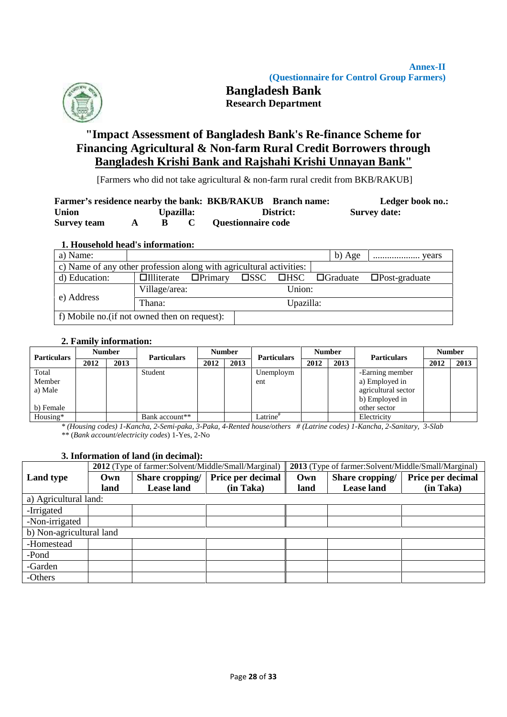

# **Bangladesh Bank Research Department**

# **"Impact Assessment of Bangladesh Bank's Re-finance Scheme for Financing Agricultural & Non-farm Rural Credit Borrowers through Bangladesh Krishi Bank and Rajshahi Krishi Unnayan Bank"**

[Farmers who did not take agricultural & non-farm rural credit from BKB/RAKUB]

|                    |           | Farmer's residence nearby the bank: BKB/RAKUB Branch name: | Ledger book no.:    |
|--------------------|-----------|------------------------------------------------------------|---------------------|
| <b>Union</b>       | Upazilla: | District:                                                  | <b>Survey date:</b> |
| <b>Survey team</b> |           | <b>Questionnaire code</b>                                  |                     |

### **1. Household head's information:**

| a) Name:                                                            |                                  |  |           | b) Age | years                                                                  |  |
|---------------------------------------------------------------------|----------------------------------|--|-----------|--------|------------------------------------------------------------------------|--|
| c) Name of any other profession along with agricultural activities: |                                  |  |           |        |                                                                        |  |
| d) Education:                                                       | $\Box$ Illiterate $\Box$ Primary |  |           |        | $\square$ SSC $\square$ HSC $\square$ Graduate $\square$ Post-graduate |  |
|                                                                     | Village/area:                    |  | Union:    |        |                                                                        |  |
| e) Address                                                          | Thana:                           |  | Upazilla: |        |                                                                        |  |
| f) Mobile no. (if not owned then on request):                       |                                  |  |           |        |                                                                        |  |

### **2. Family information:**

| <b>Particulars</b> | <b>Number</b> | <b>Particulars</b> |                | <b>Number</b> |      | <b>Particulars</b>    | <b>Number</b> |      | <b>Particulars</b>  | <b>Number</b> |      |
|--------------------|---------------|--------------------|----------------|---------------|------|-----------------------|---------------|------|---------------------|---------------|------|
|                    | 2012          | 2013               |                | 2012          | 2013 |                       | 2012          | 2013 |                     | 2012          | 2013 |
| Total              |               |                    | Student        |               |      | Unemploym             |               |      | -Earning member     |               |      |
| Member             |               |                    |                |               |      | ent                   |               |      | a) Employed in      |               |      |
| a) Male            |               |                    |                |               |      |                       |               |      | agricultural sector |               |      |
|                    |               |                    |                |               |      |                       |               |      | b) Employed in      |               |      |
| b) Female          |               |                    |                |               |      |                       |               |      | other sector        |               |      |
| Housing*           |               |                    | Bank account** |               |      | $\text{Latrine}^{\#}$ |               |      | Electricity         |               |      |

*\* (Housing codes) 1-Kancha, 2-Semi-paka, 3-Paka, 4-Rented house/others # (Latrine codes) 1-Kancha, 2-Sanitary, 3-Slab \*\** (*Bank account/electricity codes*) 1-Yes, 2-No

### **3. Information of land (in decimal):**

|                          | <b>2013</b> (Type of farmer:Solvent/Middle/Small/Marginal)<br>2012 (Type of farmer:Solvent/Middle/Small/Marginal) |                   |                   |      |                   |                   |  |  |  |  |  |  |
|--------------------------|-------------------------------------------------------------------------------------------------------------------|-------------------|-------------------|------|-------------------|-------------------|--|--|--|--|--|--|
| <b>Land type</b>         | Own                                                                                                               | Share cropping/   | Price per decimal | Own  | Share cropping/   | Price per decimal |  |  |  |  |  |  |
|                          | land                                                                                                              | <b>Lease land</b> | (in Taka)         | land | <b>Lease</b> land | (in Taka)         |  |  |  |  |  |  |
| a) Agricultural land:    |                                                                                                                   |                   |                   |      |                   |                   |  |  |  |  |  |  |
| -Irrigated               |                                                                                                                   |                   |                   |      |                   |                   |  |  |  |  |  |  |
| -Non-irrigated           |                                                                                                                   |                   |                   |      |                   |                   |  |  |  |  |  |  |
| b) Non-agricultural land |                                                                                                                   |                   |                   |      |                   |                   |  |  |  |  |  |  |
| -Homestead               |                                                                                                                   |                   |                   |      |                   |                   |  |  |  |  |  |  |
| -Pond                    |                                                                                                                   |                   |                   |      |                   |                   |  |  |  |  |  |  |
| -Garden                  |                                                                                                                   |                   |                   |      |                   |                   |  |  |  |  |  |  |
| -Others                  |                                                                                                                   |                   |                   |      |                   |                   |  |  |  |  |  |  |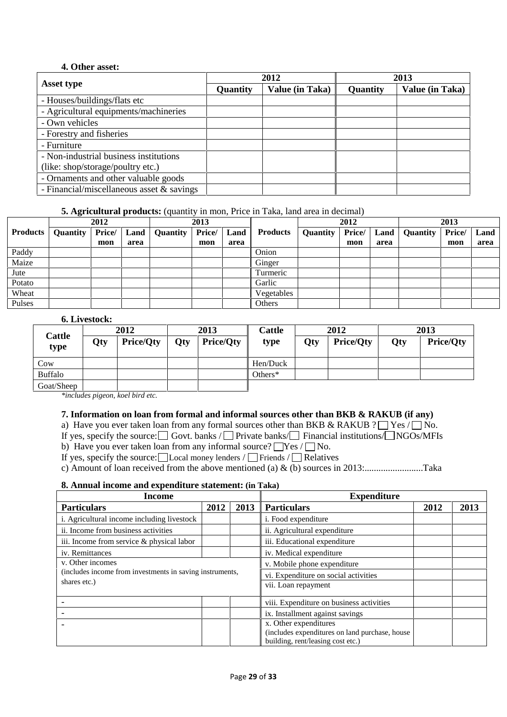### **4. Other asset:**

|                                             |          | 2012            | 2013     |                 |  |  |
|---------------------------------------------|----------|-----------------|----------|-----------------|--|--|
| Asset type                                  | Quantity | Value (in Taka) | Quantity | Value (in Taka) |  |  |
| - Houses/buildings/flats etc                |          |                 |          |                 |  |  |
| - Agricultural equipments/machineries       |          |                 |          |                 |  |  |
| - Own vehicles                              |          |                 |          |                 |  |  |
| - Forestry and fisheries                    |          |                 |          |                 |  |  |
| - Furniture                                 |          |                 |          |                 |  |  |
| - Non-industrial business institutions      |          |                 |          |                 |  |  |
| (like: shop/storage/poultry etc.)           |          |                 |          |                 |  |  |
| - Ornaments and other valuable goods        |          |                 |          |                 |  |  |
| - Financial/miscellaneous asset $&$ savings |          |                 |          |                 |  |  |

## **5. Agricultural products:** (quantity in mon, Price in Taka, land area in decimal)

|                 |          | 2012   |      |                 | 2013   |      |                 | 2012     |        | 2013 |          |        |      |
|-----------------|----------|--------|------|-----------------|--------|------|-----------------|----------|--------|------|----------|--------|------|
| <b>Products</b> | Quantity | Price/ | Land | <b>Quantity</b> | Price/ | Land | <b>Products</b> | Quantity | Price/ | Land | Quantity | Price/ | Land |
|                 |          | mon    | area |                 | mon    | area |                 |          | mon    | area |          | mon    | area |
| Paddy           |          |        |      |                 |        |      | Onion           |          |        |      |          |        |      |
| Maize           |          |        |      |                 |        |      | Ginger          |          |        |      |          |        |      |
| Jute            |          |        |      |                 |        |      | Turmeric        |          |        |      |          |        |      |
| Potato          |          |        |      |                 |        |      | Garlic          |          |        |      |          |        |      |
| Wheat           |          |        |      |                 |        |      | Vegetables      |          |        |      |          |        |      |
| Pulses          |          |        |      |                 |        |      | Others          |          |        |      |          |        |      |

## **6. Livestock:**

|                |     | 2012             |     | 2013             | Cattle   | 2012 |                  | 2013 |                  |  |
|----------------|-----|------------------|-----|------------------|----------|------|------------------|------|------------------|--|
| Cattle<br>type | Qty | <b>Price/Qty</b> | Qty | <b>Price/Qty</b> | type     | Qty  | <b>Price/Qty</b> | Qty  | <b>Price/Oty</b> |  |
| Cow            |     |                  |     |                  | Hen/Duck |      |                  |      |                  |  |
| <b>Buffalo</b> |     |                  |     |                  | Others*  |      |                  |      |                  |  |
| Goat/Sheep     |     |                  |     |                  |          |      |                  |      |                  |  |

*\*includes pigeon, koel bird etc.*

### **7. Information on loan from formal and informal sources other than BKB & RAKUB (if any)**

a) Have you ever taken loan from any formal sources other than BKB & RAKUB ?  $\Box$  Yes  $\Box$  No.

If yes, specify the source:  $\Box$  Govt. banks /  $\Box$  Private banks/  $\Box$  Financial institutions/  $\Box$  NGOs/MFIs

b) Have you ever taken loan from any informal source?  $\Box$  Yes  $/ \Box$  No.

If yes, specify the source:  $\Box$  Local money lenders /  $\Box$  Friends /  $\Box$  Relatives

c) Amount of loan received from the above mentioned (a) & (b) sources in 2013:.........................Taka

#### **8. Annual income and expenditure statement: (in Taka)**

| Income                                                   |  |  | <b>Expenditure</b>                             |  |  |  |  |  |
|----------------------------------------------------------|--|--|------------------------------------------------|--|--|--|--|--|
| <b>Particulars</b><br>2013<br>2012                       |  |  | <b>Particulars</b><br>2013<br>2012             |  |  |  |  |  |
| i. Agricultural income including livestock               |  |  | <i>i</i> . Food expenditure                    |  |  |  |  |  |
| ii. Income from business activities                      |  |  | ii. Agricultural expenditure                   |  |  |  |  |  |
| iii. Income from service & physical labor                |  |  | iii. Educational expenditure                   |  |  |  |  |  |
| iv. Remittances                                          |  |  | iv. Medical expenditure                        |  |  |  |  |  |
| v. Other incomes                                         |  |  | v. Mobile phone expenditure                    |  |  |  |  |  |
| (includes income from investments in saving instruments, |  |  | vi. Expenditure on social activities           |  |  |  |  |  |
| shares etc.)                                             |  |  | vii. Loan repayment                            |  |  |  |  |  |
|                                                          |  |  | viii. Expenditure on business activities       |  |  |  |  |  |
|                                                          |  |  | ix. Installment against savings                |  |  |  |  |  |
|                                                          |  |  | x. Other expenditures                          |  |  |  |  |  |
|                                                          |  |  | (includes expenditures on land purchase, house |  |  |  |  |  |
|                                                          |  |  | building, rent/leasing cost etc.)              |  |  |  |  |  |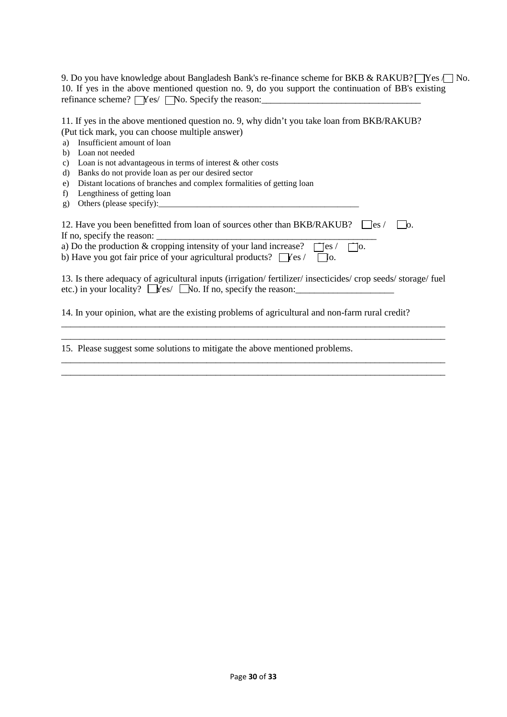| 9. Do you have knowledge about Bangladesh Bank's re-finance scheme for BKB & RAKUB? $\Box$ Yes $\Box$ No. |  |
|-----------------------------------------------------------------------------------------------------------|--|
| 10. If yes in the above mentioned question no. 9, do you support the continuation of BB's existing        |  |
| refinance scheme? $\Box$ Yes/ $\Box$ No. Specify the reason:                                              |  |

| 11. If yes in the above mentioned question no. 9, why didn't you take loan from BKB/RAKUB? |
|--------------------------------------------------------------------------------------------|
| (Put tick mark, you can choose multiple answer)                                            |
| a) Insufficient amount of loan                                                             |
| b) Loan not needed                                                                         |
| c) Loan is not advantageous in terms of interest $\&$ other costs                          |
| d) Banks do not provide loan as per our desired sector                                     |
| e) Distant locations of branches and complex formalities of getting loan                   |

- f) Lengthiness of getting loan
- g) Others (please specify): $\frac{1}{2}$

| 12. Have you been benefitted from loan of sources other than BKB/RAKUB? $\Box$ es / $\Box$ o. |
|-----------------------------------------------------------------------------------------------|
| If no, specify the reason:                                                                    |
| a) Do the production & cropping intensity of your land increase? $\Box$ es / $\Box$ o.        |
| b) Have you got fair price of your agricultural products? $\Box$ Yes /                        |

13. Is there adequacy of agricultural inputs (irrigation/ fertilizer/ insecticides/ crop seeds/ storage/ fuel etc.) in your locality?  $\Box$  Yes/  $\Box$  No. If no, specify the reason:

\_\_\_\_\_\_\_\_\_\_\_\_\_\_\_\_\_\_\_\_\_\_\_\_\_\_\_\_\_\_\_\_\_\_\_\_\_\_\_\_\_\_\_\_\_\_\_\_\_\_\_\_\_\_\_\_\_\_\_\_\_\_\_\_\_\_\_\_\_\_\_\_\_\_\_\_\_\_\_\_\_\_

\_\_\_\_\_\_\_\_\_\_\_\_\_\_\_\_\_\_\_\_\_\_\_\_\_\_\_\_\_\_\_\_\_\_\_\_\_\_\_\_\_\_\_\_\_\_\_\_\_\_\_\_\_\_\_\_\_\_\_\_\_\_\_\_\_\_\_\_\_\_\_\_\_\_\_\_\_\_\_\_\_\_ \_\_\_\_\_\_\_\_\_\_\_\_\_\_\_\_\_\_\_\_\_\_\_\_\_\_\_\_\_\_\_\_\_\_\_\_\_\_\_\_\_\_\_\_\_\_\_\_\_\_\_\_\_\_\_\_\_\_\_\_\_\_\_\_\_\_\_\_\_\_\_\_\_\_\_\_\_\_\_\_\_\_

\_\_\_\_\_\_\_\_\_\_\_\_\_\_\_\_\_\_\_\_\_\_\_\_\_\_\_\_\_\_\_\_\_\_\_\_\_\_\_\_\_\_\_\_\_\_\_\_\_\_\_\_\_\_\_\_\_\_\_\_\_\_\_\_\_\_\_\_\_\_\_\_\_\_\_\_\_\_\_\_\_\_

14. In your opinion, what are the existing problems of agricultural and non-farm rural credit?

15. Please suggest some solutions to mitigate the above mentioned problems.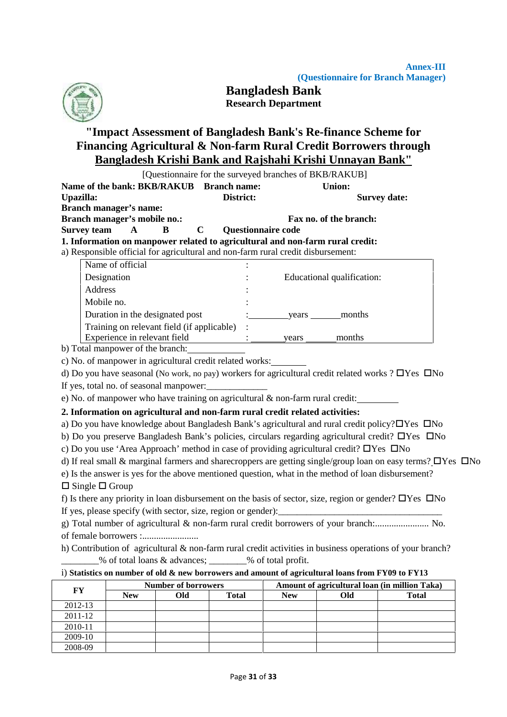

**Bangladesh Bank Research Department**

# **"Impact Assessment of Bangladesh Bank's Re-finance Scheme for Financing Agricultural & Non-farm Rural Credit Borrowers through Bangladesh Krishi Bank and Rajshahi Krishi Unnayan Bank"**

|                                                                                  |                                          | <u>Bangladesh Krishi Bank and Rajshahi Krishi Unnayan Bank''</u>                                                        |  |
|----------------------------------------------------------------------------------|------------------------------------------|-------------------------------------------------------------------------------------------------------------------------|--|
|                                                                                  |                                          | [Questionnaire for the surveyed branches of BKB/RAKUB]                                                                  |  |
| Name of the bank: BKB/RAKUB Branch name:                                         |                                          | <b>Union:</b>                                                                                                           |  |
| Upazilla:                                                                        | District:                                | <b>Survey date:</b>                                                                                                     |  |
| <b>Branch manager's name:</b>                                                    |                                          |                                                                                                                         |  |
| Branch manager's mobile no.:<br><b>Survey team</b><br>$\mathbf{A}$<br>B          | $\mathbf C$<br><b>Questionnaire code</b> | Fax no. of the branch:                                                                                                  |  |
| 1. Information on manpower related to agricultural and non-farm rural credit:    |                                          |                                                                                                                         |  |
| a) Responsible official for agricultural and non-farm rural credit disbursement: |                                          |                                                                                                                         |  |
| Name of official                                                                 |                                          |                                                                                                                         |  |
| Designation                                                                      |                                          | Educational qualification:                                                                                              |  |
| Address                                                                          |                                          |                                                                                                                         |  |
| Mobile no.                                                                       |                                          |                                                                                                                         |  |
| Duration in the designated post                                                  |                                          | years months                                                                                                            |  |
| Training on relevant field (if applicable)                                       |                                          |                                                                                                                         |  |
| Experience in relevant field                                                     |                                          | months<br>years                                                                                                         |  |
| b) Total manpower of the branch:                                                 |                                          |                                                                                                                         |  |
| c) No. of manpower in agricultural credit related works:                         |                                          |                                                                                                                         |  |
|                                                                                  |                                          | d) Do you have seasonal (No work, no pay) workers for agricultural credit related works ? $\Box$ Yes $\Box$ No          |  |
| If yes, total no. of seasonal manpower:                                          |                                          |                                                                                                                         |  |
| e) No. of manpower who have training on agricultural $\&$ non-farm rural credit: |                                          |                                                                                                                         |  |
| 2. Information on agricultural and non-farm rural credit related activities:     |                                          |                                                                                                                         |  |
|                                                                                  |                                          | a) Do you have knowledge about Bangladesh Bank's agricultural and rural credit policy? OYes ONo                         |  |
|                                                                                  |                                          | b) Do you preserve Bangladesh Bank's policies, circulars regarding agricultural credit? DYes DNo                        |  |
|                                                                                  |                                          | c) Do you use 'Area Approach' method in case of providing agricultural credit? $\Box$ Yes $\Box$ No                     |  |
|                                                                                  |                                          | d) If real small & marginal farmers and sharecroppers are getting single/group loan on easy terms? $\Box$ Yes $\Box$ No |  |
|                                                                                  |                                          | e) Is the answer is yes for the above mentioned question, what in the method of loan disbursement?                      |  |
| $\Box$ Single $\Box$ Group                                                       |                                          |                                                                                                                         |  |
|                                                                                  |                                          | f) Is there any priority in loan disbursement on the basis of sector, size, region or gender? $\Box$ Yes $\Box$ No      |  |
| If yes, please specify (with sector, size, region or gender):                    |                                          |                                                                                                                         |  |
|                                                                                  |                                          | g) Total number of agricultural & non-farm rural credit borrowers of your branch: No.                                   |  |
|                                                                                  |                                          |                                                                                                                         |  |

h) Contribution of agricultural & non-farm rural credit activities in business operations of your branch? \_\_\_\_\_\_\_\_% of total loans & advances; \_\_\_\_\_\_\_\_% of total profit.

## i) **Statistics on number of old & new borrowers and amount of agricultural loans from FY09 to FY13**

| FY      |            | <b>Number of borrowers</b> |              | Amount of agricultural loan (in million Taka) |     |              |  |  |  |
|---------|------------|----------------------------|--------------|-----------------------------------------------|-----|--------------|--|--|--|
|         | <b>New</b> | Old                        | <b>Total</b> | <b>New</b>                                    | Old | <b>Total</b> |  |  |  |
| 2012-13 |            |                            |              |                                               |     |              |  |  |  |
| 2011-12 |            |                            |              |                                               |     |              |  |  |  |
| 2010-11 |            |                            |              |                                               |     |              |  |  |  |
| 2009-10 |            |                            |              |                                               |     |              |  |  |  |
| 2008-09 |            |                            |              |                                               |     |              |  |  |  |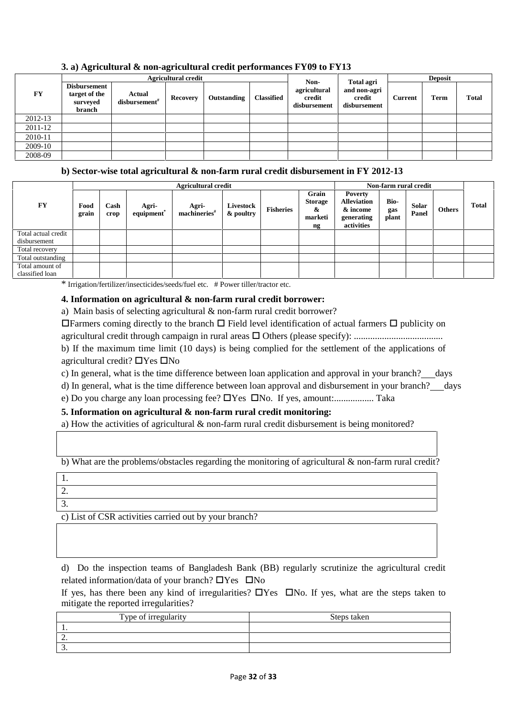|         |                                                            |                                     | <b>Agricultural credit</b> |             |                   | <b>Deposit</b>                                 |                                                             |         |      |              |
|---------|------------------------------------------------------------|-------------------------------------|----------------------------|-------------|-------------------|------------------------------------------------|-------------------------------------------------------------|---------|------|--------------|
| FY      | <b>Disbursement</b><br>target of the<br>surveyed<br>branch | Actual<br>disbursement <sup>#</sup> | Recovery                   | Outstanding | <b>Classified</b> | Non-<br>agricultural<br>credit<br>disbursement | <b>Total agri</b><br>and non-agri<br>credit<br>disbursement | Current | Term | <b>Total</b> |
| 2012-13 |                                                            |                                     |                            |             |                   |                                                |                                                             |         |      |              |
| 2011-12 |                                                            |                                     |                            |             |                   |                                                |                                                             |         |      |              |
| 2010-11 |                                                            |                                     |                            |             |                   |                                                |                                                             |         |      |              |
| 2009-10 |                                                            |                                     |                            |             |                   |                                                |                                                             |         |      |              |
| 2008-09 |                                                            |                                     |                            |             |                   |                                                |                                                             |         |      |              |

## **3. a) Agricultural & non-agricultural credit performances FY09 to FY13**

### **b) Sector-wise total agricultural & non-farm rural credit disbursement in FY 2012-13**

|                     |               |              |                                 | <b>Agricultural credit</b>          | Non-farm rural credit  |                  |                                               |                                                                              |                      |                |               |       |
|---------------------|---------------|--------------|---------------------------------|-------------------------------------|------------------------|------------------|-----------------------------------------------|------------------------------------------------------------------------------|----------------------|----------------|---------------|-------|
| <b>FY</b>           | Food<br>grain | Cash<br>crop | Agri-<br>equipment <sup>*</sup> | Agri-<br>$machineries$ <sup>#</sup> | Livestock<br>& poultry | <b>Fisheries</b> | Grain<br><b>Storage</b><br>&<br>marketi<br>ng | <b>Poverty</b><br><b>Alleviation</b><br>& income<br>generating<br>activities | Bio-<br>gas<br>plant | Solar<br>Panel | <b>Others</b> | Total |
| Total actual credit |               |              |                                 |                                     |                        |                  |                                               |                                                                              |                      |                |               |       |
| disbursement        |               |              |                                 |                                     |                        |                  |                                               |                                                                              |                      |                |               |       |
| Total recovery      |               |              |                                 |                                     |                        |                  |                                               |                                                                              |                      |                |               |       |
| Total outstanding   |               |              |                                 |                                     |                        |                  |                                               |                                                                              |                      |                |               |       |
| Total amount of     |               |              |                                 |                                     |                        |                  |                                               |                                                                              |                      |                |               |       |
| classified loan     |               |              |                                 |                                     |                        |                  |                                               |                                                                              |                      |                |               |       |

\* Irrigation/fertilizer/insecticides/seeds/fuel etc. # Power tiller/tractor etc.

### **4. Information on agricultural & non-farm rural credit borrower:**

a) Main basis of selecting agricultural & non-farm rural credit borrower?

**Example 1** Field level identification of actual farmers  $\Box$  publicity on agricultural credit through campaign in rural areas Others (please specify): ......................................

b) If the maximum time limit (10 days) is being complied for the settlement of the applications of agricultural credit?  $\Box$  Yes  $\Box$  No

c) In general, what is the time difference between loan application and approval in your branch? days

d) In general, what is the time difference between loan approval and disbursement in your branch? days

e) Do you charge any loan processing fee? Yes No. If yes, amount:................. Taka

### **5. Information on agricultural & non-farm rural credit monitoring:**

a) How the activities of agricultural & non-farm rural credit disbursement is being monitored?

b) What are the problems/obstacles regarding the monitoring of agricultural & non-farm rural credit?

| .                                                             |  |
|---------------------------------------------------------------|--|
| <u>L.</u>                                                     |  |
| . ب                                                           |  |
| $\lambda$ List of CCD solution counted out by your hugh $0.9$ |  |

c) List of CSR activities carried out by your branch?

d) Do the inspection teams of Bangladesh Bank (BB) regularly scrutinize the agricultural credit related information/data of your branch?  $\Box$  Yes  $\Box$  No

If yes, has there been any kind of irregularities?  $\Box$ Yes  $\Box$ No. If yes, what are the steps taken to mitigate the reported irregularities?

| Type of irregularity | Steps taken |
|----------------------|-------------|
|                      |             |
| <u>.</u>             |             |
| ້                    |             |